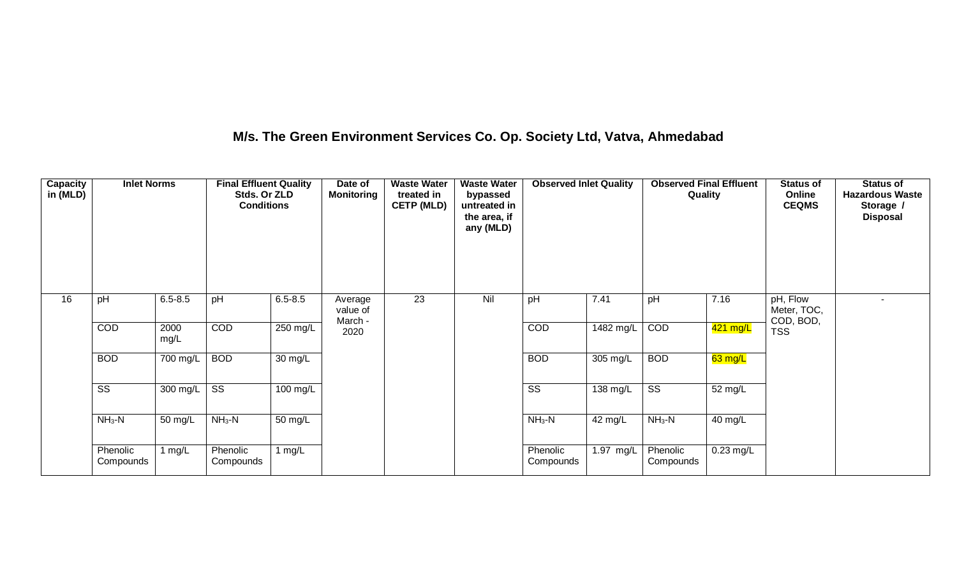### **M/s. The Green Environment Services Co. Op. Society Ltd, Vatva, Ahmedabad**

| <b>Capacity</b><br>in (MLD) | <b>Inlet Norms</b>     |                       | <b>Final Effluent Quality</b><br>Stds. Or ZLD<br><b>Conditions</b> |                      | Date of<br><b>Monitoring</b>   | <b>Waste Water</b><br>treated in<br><b>CETP (MLD)</b> | <b>Waste Water</b><br>bypassed<br>untreated in<br>the area, if<br>any (MLD) | <b>Observed Inlet Quality</b> |                       | <b>Observed Final Effluent</b><br>Quality |             | <b>Status of</b><br>Online<br><b>CEQMS</b> | <b>Status of</b><br><b>Hazardous Waste</b><br>Storage /<br><b>Disposal</b> |
|-----------------------------|------------------------|-----------------------|--------------------------------------------------------------------|----------------------|--------------------------------|-------------------------------------------------------|-----------------------------------------------------------------------------|-------------------------------|-----------------------|-------------------------------------------|-------------|--------------------------------------------|----------------------------------------------------------------------------|
| 16                          | pH                     | $6.5 - 8.5$           | pH                                                                 | $6.5 - 8.5$          | Average<br>value of<br>March - | 23                                                    | Nil                                                                         | pH                            | 7.41                  | pH                                        | 7.16        | pH, Flow<br>Meter, TOC,<br>COD, BOD,       |                                                                            |
|                             | COD                    | 2000<br>mg/L          | COD                                                                | $250$ mg/L           | 2020                           |                                                       |                                                                             | COD                           | 1482 mg/L             | COD                                       | $421$ mg/L  | <b>TSS</b>                                 |                                                                            |
|                             | <b>BOD</b>             | $\overline{700}$ mg/L | <b>BOD</b>                                                         | $\overline{30}$ mg/L |                                |                                                       |                                                                             | <b>BOD</b>                    | 305 mg/L              | <b>BOD</b>                                | $63$ mg/L   |                                            |                                                                            |
|                             | $\overline{\text{SS}}$ | 300 mg/L              | $\overline{\text{ss}}$                                             | 100 mg/L             |                                |                                                       |                                                                             | $\overline{\text{ss}}$        | $\overline{138}$ mg/L | $\overline{\text{SS}}$                    | 52 mg/L     |                                            |                                                                            |
|                             | $NH3-N$                | 50 mg/L               | $NH3-N$                                                            | 50 mg/L              |                                |                                                       |                                                                             | $NH3-N$                       | 42 mg/L               | $NH3-N$                                   | 40 mg/L     |                                            |                                                                            |
|                             | Phenolic<br>Compounds  | 1 mg/L                | Phenolic<br>Compounds                                              | 1 $mg/L$             |                                |                                                       |                                                                             | Phenolic<br>Compounds         | 1.97 mg/L             | Phenolic<br>Compounds                     | $0.23$ mg/L |                                            |                                                                            |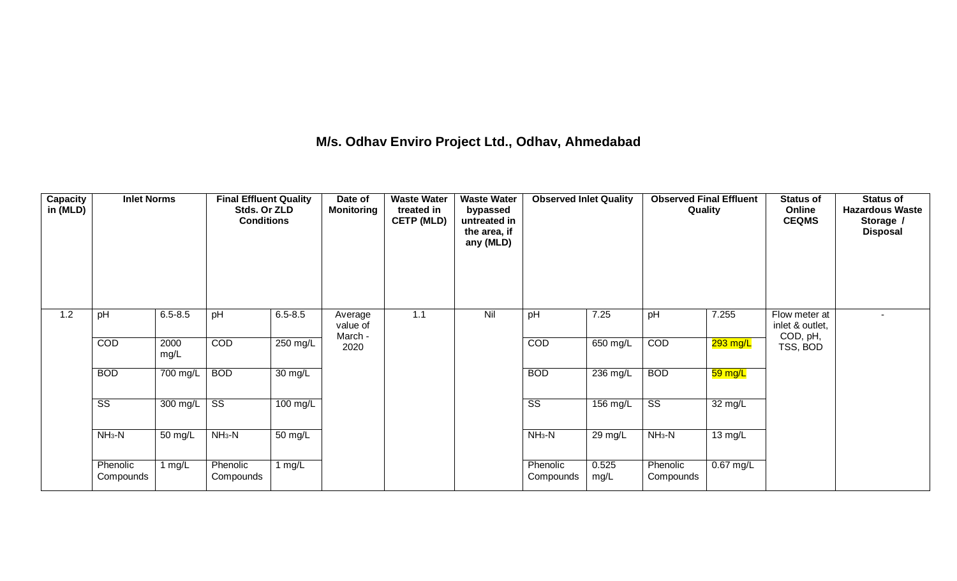#### **M/s. Odhav Enviro Project Ltd., Odhav, Ahmedabad**

| <b>Capacity</b><br>in (MLD) | <b>Inlet Norms</b>     |                       | <b>Final Effluent Quality</b><br>Stds. Or ZLD<br><b>Conditions</b> |                       | Date of<br><b>Monitoring</b> | <b>Waste Water</b><br>treated in<br><b>CETP (MLD)</b> | <b>Waste Water</b><br>bypassed<br>untreated in<br>the area, if<br>any (MLD) | <b>Observed Inlet Quality</b> |                    | <b>Observed Final Effluent</b><br>Quality |             | <b>Status of</b><br>Online<br><b>CEQMS</b> | <b>Status of</b><br><b>Hazardous Waste</b><br>Storage /<br><b>Disposal</b> |
|-----------------------------|------------------------|-----------------------|--------------------------------------------------------------------|-----------------------|------------------------------|-------------------------------------------------------|-----------------------------------------------------------------------------|-------------------------------|--------------------|-------------------------------------------|-------------|--------------------------------------------|----------------------------------------------------------------------------|
| 1.2                         | pH                     | $6.5 - 8.5$           | pH                                                                 | $6.5 - 8.5$           | Average<br>value of          | 1.1                                                   | Nil                                                                         | pH                            | 7.25               | pH                                        | 7.255       | Flow meter at<br>inlet & outlet,           | $\blacksquare$                                                             |
|                             | COD                    | 2000<br>mg/L          | COD                                                                | 250 mg/L              | March -<br>2020              |                                                       |                                                                             | COD                           | 650 mg/L           | COD                                       | $293$ mg/L  | COD, pH,<br>TSS, BOD                       |                                                                            |
|                             | <b>BOD</b>             | $\overline{700}$ mg/L | <b>BOD</b>                                                         | 30 mg/L               |                              |                                                       |                                                                             | <b>BOD</b>                    | 236 mg/L           | <b>BOD</b>                                | 59 mg/L     |                                            |                                                                            |
|                             | $\overline{\text{ss}}$ | $300 \text{ mg/L}$    | $\overline{\text{ss}}$                                             | $\overline{100}$ mg/L |                              |                                                       |                                                                             | $\overline{\text{ss}}$        | $156 \text{ mg/L}$ | $\overline{\text{SS}}$                    | 32 mg/L     |                                            |                                                                            |
|                             | $NH3-N$                | 50 mg/L               | $NH3-N$                                                            | 50 mg/L               |                              |                                                       |                                                                             | $NH3-N$                       | 29 mg/L            | $NH3-N$                                   | 13 mg/L     |                                            |                                                                            |
|                             | Phenolic<br>Compounds  | 1 mg/L                | Phenolic<br>Compounds                                              | 1 $mg/L$              |                              |                                                       |                                                                             | Phenolic<br>Compounds         | 0.525<br>mg/L      | Phenolic<br>Compounds                     | $0.67$ mg/L |                                            |                                                                            |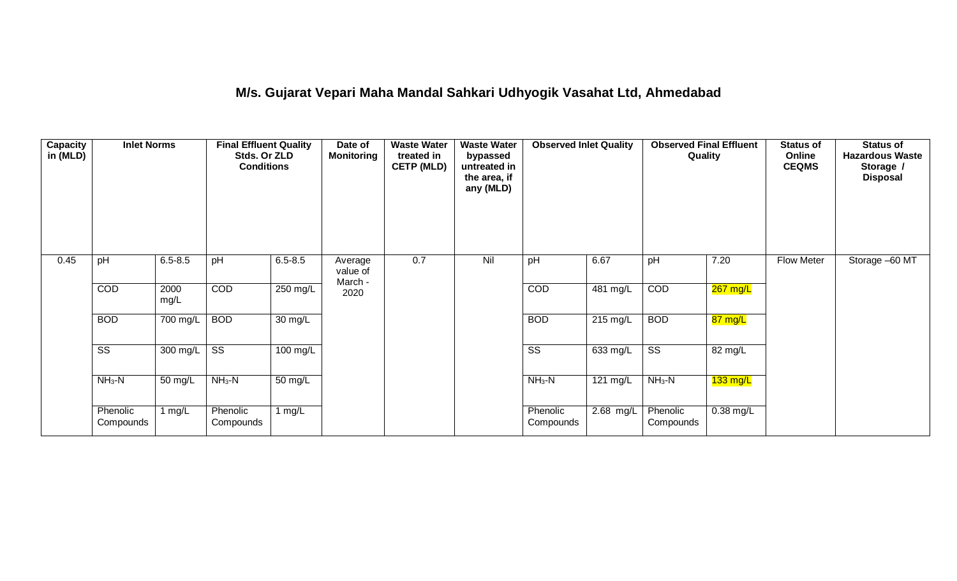## **M/s. Gujarat Vepari Maha Mandal Sahkari Udhyogik Vasahat Ltd, Ahmedabad**

| <b>Capacity</b><br>in (MLD) | <b>Inlet Norms</b>     |              | <b>Final Effluent Quality</b><br>Stds. Or ZLD<br><b>Conditions</b> |                   | Date of<br><b>Monitoring</b>   | <b>Waste Water</b><br>treated in<br><b>CETP (MLD)</b> | <b>Waste Water</b><br>bypassed<br>untreated in<br>the area, if<br>any (MLD) | <b>Observed Inlet Quality</b> |                       | <b>Observed Final Effluent</b><br>Quality |                    | <b>Status of</b><br>Online<br><b>CEQMS</b> | Status of<br><b>Hazardous Waste</b><br>Storage /<br><b>Disposal</b> |
|-----------------------------|------------------------|--------------|--------------------------------------------------------------------|-------------------|--------------------------------|-------------------------------------------------------|-----------------------------------------------------------------------------|-------------------------------|-----------------------|-------------------------------------------|--------------------|--------------------------------------------|---------------------------------------------------------------------|
| 0.45                        | pH                     | $6.5 - 8.5$  | pH                                                                 | $6.5 - 8.5$       | Average<br>value of<br>March - | 0.7                                                   | Nil                                                                         | pH                            | 6.67                  | pH                                        | 7.20               | <b>Flow Meter</b>                          | Storage -60 MT                                                      |
|                             | COD                    | 2000<br>mg/L | COD                                                                | 250 mg/L          | 2020                           |                                                       |                                                                             | COD                           | 481 mg/L              | COD                                       | $267$ mg/L         |                                            |                                                                     |
|                             | <b>BOD</b>             | 700 mg/L     | <b>BOD</b>                                                         | $30 \text{ mg/L}$ |                                |                                                       |                                                                             | <b>BOD</b>                    | $215 \text{ mg/L}$    | <b>BOD</b>                                | 87 mg/L            |                                            |                                                                     |
|                             | $\overline{\text{ss}}$ | 300 mg/L     | $\overline{\text{ss}}$                                             | $100$ mg/L        |                                |                                                       |                                                                             | $\overline{\text{ss}}$        | 633 mg/L              | $\overline{\text{SS}}$                    | 82 mg/L            |                                            |                                                                     |
|                             | $NH3-N$                | 50 mg/L      | $NH3-N$                                                            | 50 mg/L           |                                |                                                       |                                                                             | $NH3-N$                       | $121 \overline{mg/L}$ | $NH3-N$                                   | $133 \text{ mg/L}$ |                                            |                                                                     |
|                             | Phenolic<br>Compounds  | 1 mg/L       | Phenolic<br>Compounds                                              | 1 mg/L            |                                |                                                       |                                                                             | Phenolic<br>Compounds         | 2.68 mg/L             | Phenolic<br>Compounds                     | $0.38$ mg/L        |                                            |                                                                     |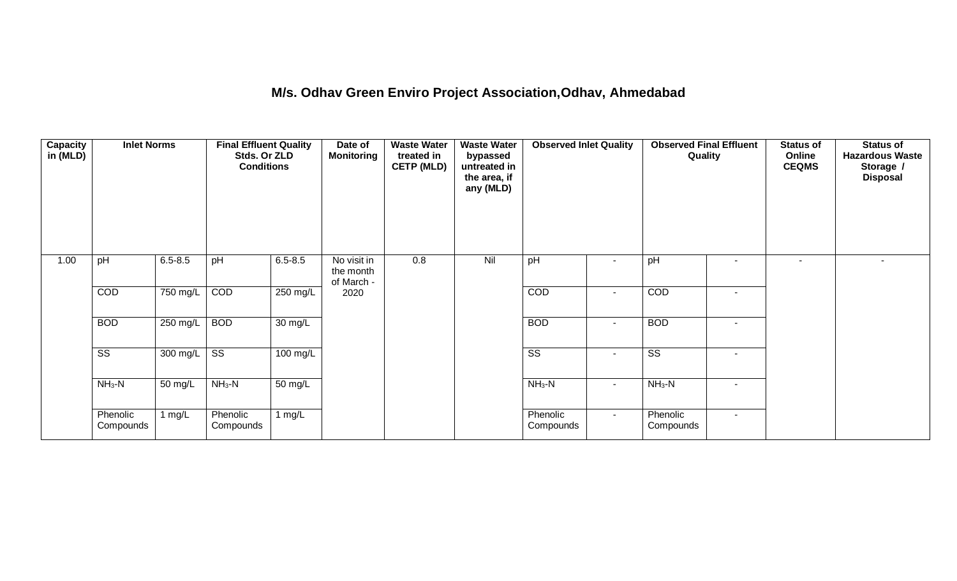## **M/s. Odhav Green Enviro Project Association,Odhav, Ahmedabad**

| <b>Capacity</b><br>in (MLD) | <b>Inlet Norms</b>     |             | <b>Final Effluent Quality</b><br>Stds. Or ZLD<br><b>Conditions</b> |                      | Date of<br><b>Monitoring</b>           | <b>Waste Water</b><br>treated in<br><b>CETP (MLD)</b> | <b>Waste Water</b><br>bypassed<br>untreated in<br>the area, if<br>any (MLD) | <b>Observed Inlet Quality</b> |                          | <b>Observed Final Effluent</b><br>Quality |        | <b>Status of</b><br>Online<br><b>CEQMS</b> | Status of<br><b>Hazardous Waste</b><br>Storage /<br><b>Disposal</b> |
|-----------------------------|------------------------|-------------|--------------------------------------------------------------------|----------------------|----------------------------------------|-------------------------------------------------------|-----------------------------------------------------------------------------|-------------------------------|--------------------------|-------------------------------------------|--------|--------------------------------------------|---------------------------------------------------------------------|
| 1.00                        | pH                     | $6.5 - 8.5$ | pH                                                                 | $6.5 - 8.5$          | No visit in<br>the month<br>of March - | 0.8                                                   | Nil                                                                         | pH                            | $\overline{\phantom{a}}$ | pH                                        | ۰.     |                                            | $\overline{\phantom{a}}$                                            |
|                             | COD                    | 750 mg/L    | COD                                                                | 250 mg/L             | 2020                                   |                                                       |                                                                             | COD                           | $\blacksquare$           | COD                                       | $\sim$ |                                            |                                                                     |
|                             | <b>BOD</b>             | 250 mg/L    | <b>BOD</b>                                                         | $\overline{30}$ mg/L |                                        |                                                       |                                                                             | <b>BOD</b>                    | $\blacksquare$           | <b>BOD</b>                                | $\sim$ |                                            |                                                                     |
|                             | $\overline{\text{SS}}$ | $300$ mg/L  | $\overline{\text{SS}}$                                             | 100 mg/L             |                                        |                                                       |                                                                             | $\overline{\text{SS}}$        | $\blacksquare$           | $\overline{\text{ss}}$                    | $\sim$ |                                            |                                                                     |
|                             | $NH3-N$                | 50 mg/L     | $NH3-N$                                                            | $\overline{50}$ mg/L |                                        |                                                       |                                                                             | $NH3-N$                       | $\overline{\phantom{a}}$ | $NH3-N$                                   | $\sim$ |                                            |                                                                     |
|                             | Phenolic<br>Compounds  | 1 mg/L      | Phenolic<br>Compounds                                              | 1 $mg/L$             |                                        |                                                       |                                                                             | Phenolic<br>Compounds         | $\sim$                   | Phenolic<br>Compounds                     | $\sim$ |                                            |                                                                     |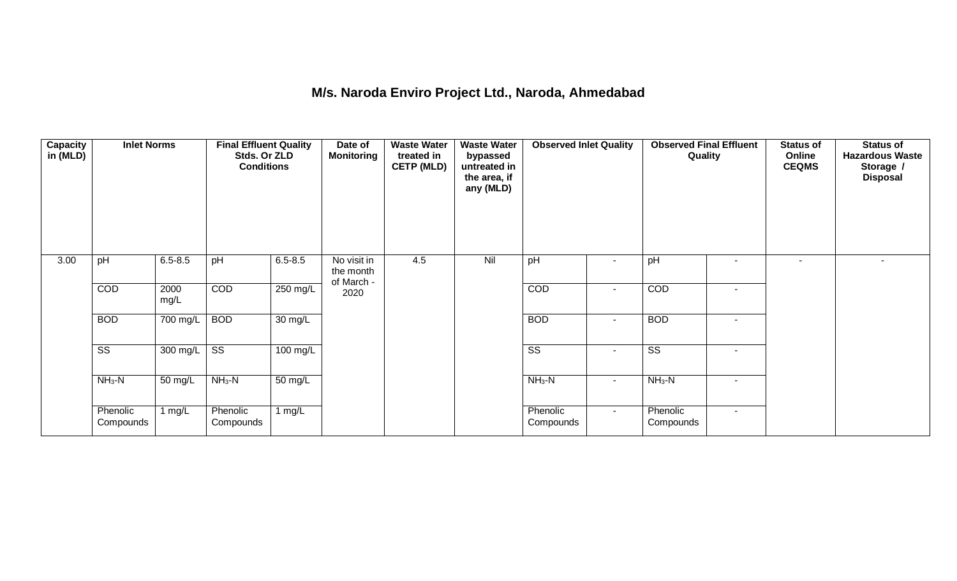### **M/s. Naroda Enviro Project Ltd., Naroda, Ahmedabad**

| <b>Capacity</b><br>in (MLD) | <b>Inlet Norms</b>     |              | <b>Final Effluent Quality</b><br>Stds. Or ZLD<br><b>Conditions</b> |                      | Date of<br><b>Monitoring</b>           | <b>Waste Water</b><br>treated in<br><b>CETP (MLD)</b> | <b>Waste Water</b><br>bypassed<br>untreated in<br>the area, if<br>any (MLD) | <b>Observed Inlet Quality</b> |                | <b>Observed Final Effluent</b><br>Quality |                          | Status of<br>Online<br><b>CEQMS</b> | Status of<br><b>Hazardous Waste</b><br>Storage /<br><b>Disposal</b> |
|-----------------------------|------------------------|--------------|--------------------------------------------------------------------|----------------------|----------------------------------------|-------------------------------------------------------|-----------------------------------------------------------------------------|-------------------------------|----------------|-------------------------------------------|--------------------------|-------------------------------------|---------------------------------------------------------------------|
| 3.00                        | pH                     | $6.5 - 8.5$  | pH                                                                 | $6.5 - 8.5$          | No visit in<br>the month<br>of March - | 4.5                                                   | Nil                                                                         | pH                            |                | pH                                        | $\sim$                   | $\overline{\phantom{a}}$            |                                                                     |
|                             | COD                    | 2000<br>mg/L | COD                                                                | 250 mg/L             | 2020                                   |                                                       |                                                                             | COD                           | $\blacksquare$ | COD                                       | $\overline{\phantom{a}}$ |                                     |                                                                     |
|                             | <b>BOD</b>             | 700 mg/L     | <b>BOD</b>                                                         | $30 \text{ mg/L}$    |                                        |                                                       |                                                                             | <b>BOD</b>                    | $\sim$         | <b>BOD</b>                                | $\sim$                   |                                     |                                                                     |
|                             | $\overline{\text{ss}}$ | 300 mg/L     | $\overline{\text{ss}}$                                             | $100$ mg/L           |                                        |                                                       |                                                                             | $\overline{\text{ss}}$        | $\blacksquare$ | $\overline{\text{ss}}$                    | $\overline{\phantom{a}}$ |                                     |                                                                     |
|                             | $NH3-N$                | 50 mg/L      | $NH3-N$                                                            | $\overline{50}$ mg/L |                                        |                                                       |                                                                             | $NH3-N$                       | $\blacksquare$ | $NH3-N$                                   | $\sim$                   |                                     |                                                                     |
|                             | Phenolic<br>Compounds  | 1 $mg/L$     | Phenolic<br>Compounds                                              | 1 $mg/L$             |                                        |                                                       |                                                                             | Phenolic<br>Compounds         | $\sim$         | Phenolic<br>Compounds                     | $\sim$                   |                                     |                                                                     |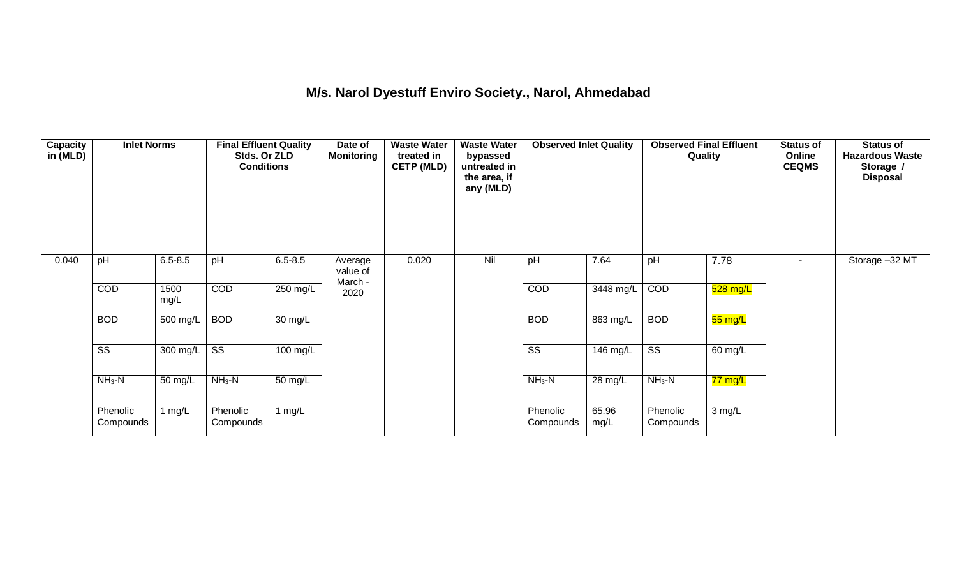## **M/s. Narol Dyestuff Enviro Society., Narol, Ahmedabad**

| Capacity<br>in (MLD) | <b>Inlet Norms</b>     |              | <b>Final Effluent Quality</b><br>Stds. Or ZLD<br><b>Conditions</b> |                      | Date of<br><b>Monitoring</b>   | <b>Waste Water</b><br>treated in<br><b>CETP (MLD)</b> | <b>Waste Water</b><br>bypassed<br>untreated in<br>the area, if<br>any (MLD) | <b>Observed Inlet Quality</b> |               | <b>Observed Final Effluent</b><br>Quality |                   | <b>Status of</b><br>Online<br><b>CEQMS</b> | Status of<br><b>Hazardous Waste</b><br>Storage /<br><b>Disposal</b> |
|----------------------|------------------------|--------------|--------------------------------------------------------------------|----------------------|--------------------------------|-------------------------------------------------------|-----------------------------------------------------------------------------|-------------------------------|---------------|-------------------------------------------|-------------------|--------------------------------------------|---------------------------------------------------------------------|
| 0.040                | pH                     | $6.5 - 8.5$  | pH                                                                 | $6.5 - 8.5$          | Average<br>value of<br>March - | 0.020                                                 | Nil                                                                         | pH                            | 7.64          | pH                                        | 7.78              |                                            | Storage -32 MT                                                      |
|                      | COD                    | 1500<br>mg/L | COD                                                                | 250 mg/L             | 2020                           |                                                       |                                                                             | COD                           | 3448 mg/L     | COD                                       | 528 mg/L          |                                            |                                                                     |
|                      | <b>BOD</b>             | 500 mg/L     | <b>BOD</b>                                                         | $30 \text{ mg/L}$    |                                |                                                       |                                                                             | <b>BOD</b>                    | $863$ mg/L    | <b>BOD</b>                                | $55 \text{ mg/L}$ |                                            |                                                                     |
|                      | $\overline{\text{ss}}$ | 300 mg/L     | $\overline{\text{SS}}$                                             | $100$ mg/L           |                                |                                                       |                                                                             | $\overline{\text{ss}}$        | 146 mg/L      | $\overline{\text{ss}}$                    | 60 mg/L           |                                            |                                                                     |
|                      | $NH3-N$                | 50 mg/L      | $NH3-N$                                                            | $\overline{50}$ mg/L |                                |                                                       |                                                                             | $NH3-N$                       | 28 mg/L       | $NH3-N$                                   | 77 mg/L           |                                            |                                                                     |
|                      | Phenolic<br>Compounds  | 1 $mg/L$     | Phenolic<br>Compounds                                              | 1 $mg/L$             |                                |                                                       |                                                                             | Phenolic<br>Compounds         | 65.96<br>mg/L | Phenolic<br>Compounds                     | 3 mg/L            |                                            |                                                                     |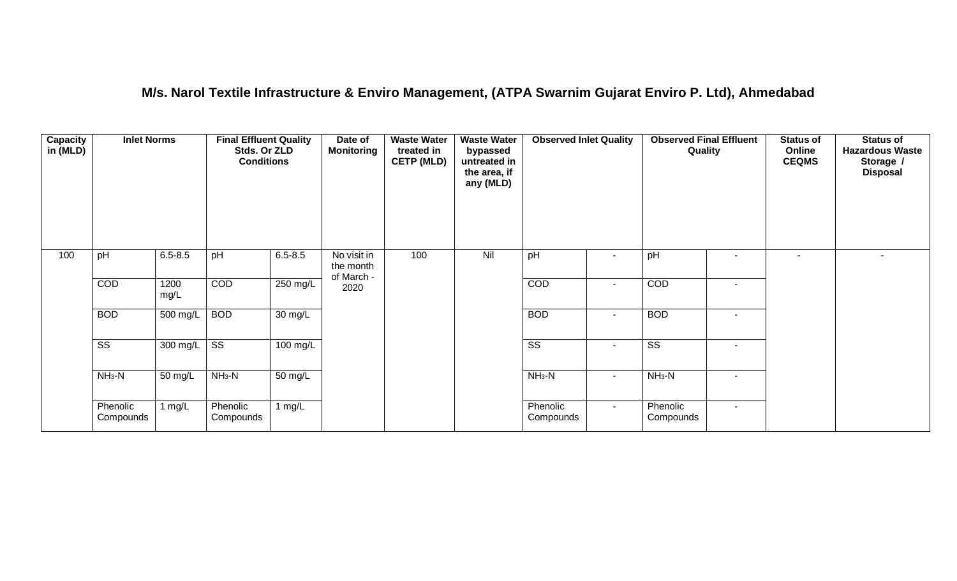## **M/s. Narol Textile Infrastructure & Enviro Management, (ATPA Swarnim Gujarat Enviro P. Ltd), Ahmedabad**

| <b>Capacity</b><br>in (MLD) | <b>Inlet Norms</b>     |              | <b>Final Effluent Quality</b><br>Stds. Or ZLD<br><b>Conditions</b> |                      | Date of<br><b>Monitoring</b>           | <b>Waste Water</b><br>treated in<br><b>CETP (MLD)</b> | <b>Waste Water</b><br>bypassed<br>untreated in<br>the area, if<br>any (MLD) | <b>Observed Inlet Quality</b> |                | <b>Observed Final Effluent</b><br>Quality |                          | <b>Status of</b><br>Online<br><b>CEQMS</b> | <b>Status of</b><br><b>Hazardous Waste</b><br>Storage /<br><b>Disposal</b> |
|-----------------------------|------------------------|--------------|--------------------------------------------------------------------|----------------------|----------------------------------------|-------------------------------------------------------|-----------------------------------------------------------------------------|-------------------------------|----------------|-------------------------------------------|--------------------------|--------------------------------------------|----------------------------------------------------------------------------|
| 100                         | pH                     | $6.5 - 8.5$  | pH                                                                 | $6.5 - 8.5$          | No visit in<br>the month<br>of March - | 100                                                   | Nil                                                                         | pH                            | $\blacksquare$ | pH                                        |                          |                                            |                                                                            |
|                             | COD                    | 1200<br>mg/L | <b>COD</b>                                                         | 250 mg/L             | 2020                                   |                                                       |                                                                             | COD                           | $\sim$         | COD                                       |                          |                                            |                                                                            |
|                             | <b>BOD</b>             | 500 mg/L     | <b>BOD</b>                                                         | $30 \text{ mg/L}$    |                                        |                                                       |                                                                             | <b>BOD</b>                    | $\sim$         | <b>BOD</b>                                | $\overline{\phantom{a}}$ |                                            |                                                                            |
|                             | $\overline{\text{ss}}$ | 300 mg/L     | $\overline{\text{ss}}$                                             | $100$ mg/L           |                                        |                                                       |                                                                             | $\overline{\text{ss}}$        | $\sim$         | $\overline{\text{SS}}$                    | $\sim$                   |                                            |                                                                            |
|                             | $NH3-N$                | 50 mg/L      | $NH3-N$                                                            | $\overline{50}$ mg/L |                                        |                                                       |                                                                             | $NH3-N$                       | $\blacksquare$ | $NH3-N$                                   | $\overline{\phantom{a}}$ |                                            |                                                                            |
|                             | Phenolic<br>Compounds  | 1 $mg/L$     | Phenolic<br>Compounds                                              | 1 $mg/L$             |                                        |                                                       |                                                                             | Phenolic<br>Compounds         | $\sim$         | Phenolic<br>Compounds                     | $\sim$                   |                                            |                                                                            |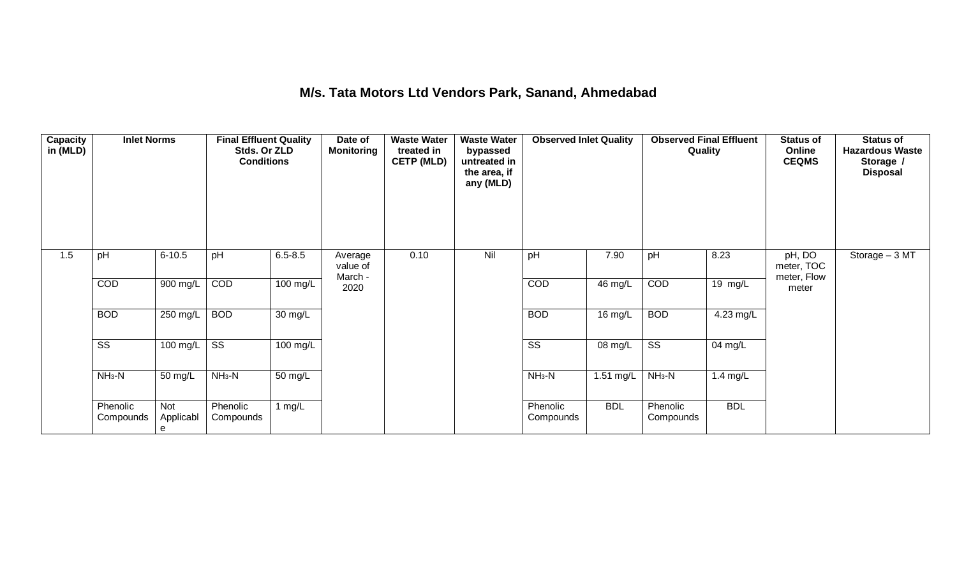# **M/s. Tata Motors Ltd Vendors Park, Sanand, Ahmedabad**

| <b>Capacity</b><br>in (MLD) | <b>Inlet Norms</b>     |                       | <b>Final Effluent Quality</b><br>Stds. Or ZLD<br><b>Conditions</b> |                    | Date of<br><b>Monitoring</b>   | <b>Waste Water</b><br>treated in<br><b>CETP (MLD)</b> | <b>Waste Water</b><br>bypassed<br>untreated in<br>the area, if<br>any (MLD) | <b>Observed Inlet Quality</b> |            | <b>Observed Final Effluent</b><br>Quality |                      | <b>Status of</b><br>Online<br><b>CEQMS</b> | <b>Status of</b><br><b>Hazardous Waste</b><br>Storage /<br><b>Disposal</b> |
|-----------------------------|------------------------|-----------------------|--------------------------------------------------------------------|--------------------|--------------------------------|-------------------------------------------------------|-----------------------------------------------------------------------------|-------------------------------|------------|-------------------------------------------|----------------------|--------------------------------------------|----------------------------------------------------------------------------|
| 1.5                         | pH                     | $6 - 10.5$            | pH                                                                 | $6.5 - 8.5$        | Average<br>value of<br>March - | 0.10                                                  | Nil                                                                         | pH                            | 7.90       | pH                                        | 8.23                 | pH, DO<br>meter, TOC<br>meter, Flow        | Storage - 3 MT                                                             |
|                             | COD                    | 900 mg/L              | COD                                                                | $100 \text{ mg/L}$ | 2020                           |                                                       |                                                                             | COD                           | 46 mg/L    | COD                                       | $\overline{19}$ mg/L | meter                                      |                                                                            |
|                             | <b>BOD</b>             | 250 mg/L              | <b>BOD</b>                                                         | $30 \text{ mg/L}$  |                                |                                                       |                                                                             | <b>BOD</b>                    | 16 mg/L    | <b>BOD</b>                                | $4.23 \text{ mg/L}$  |                                            |                                                                            |
|                             | $\overline{\text{SS}}$ | $100$ mg/L            | $\overline{\text{ss}}$                                             | $100$ mg/L         |                                |                                                       |                                                                             | $\overline{\text{SS}}$        | 08 mg/L    | $\overline{\text{SS}}$                    | 04 mg/L              |                                            |                                                                            |
|                             | $NH3-N$                | 50 mg/L               | $NH_3-N$                                                           | 50 mg/L            |                                |                                                       |                                                                             | $NH3-N$                       | 1.51 mg/L  | $NH3-N$                                   | 1.4 $mg/L$           |                                            |                                                                            |
|                             | Phenolic<br>Compounds  | Not<br>Applicabl<br>e | Phenolic<br>Compounds                                              | 1 $mg/L$           |                                |                                                       |                                                                             | Phenolic<br>Compounds         | <b>BDL</b> | Phenolic<br>Compounds                     | <b>BDL</b>           |                                            |                                                                            |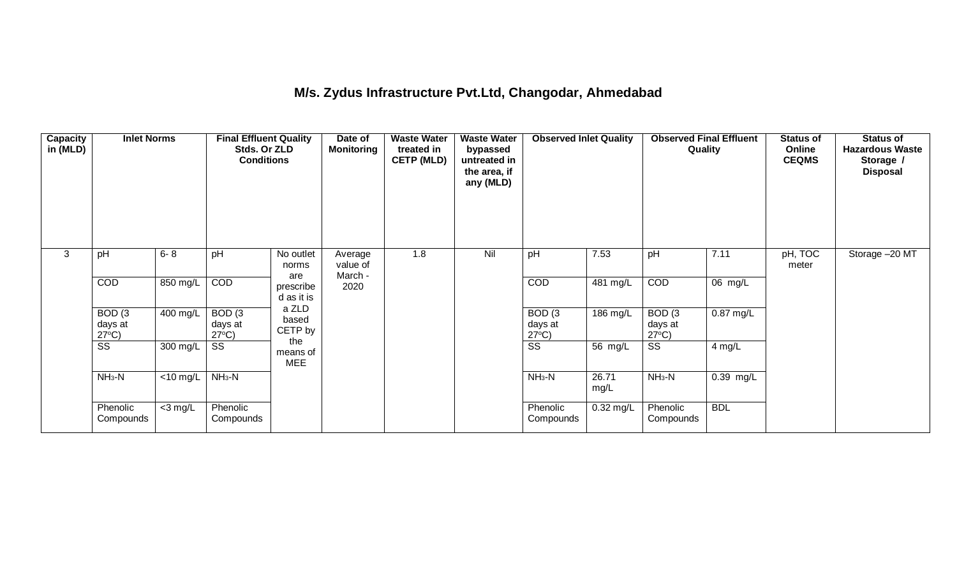## **M/s. Zydus Infrastructure Pvt.Ltd, Changodar, Ahmedabad**

| Capacity<br>in (MLD) | <b>Inlet Norms</b>                   |                               | <b>Final Effluent Quality</b><br>Stds. Or ZLD<br><b>Conditions</b> |                               | Date of<br><b>Monitoring</b>   | <b>Waste Water</b><br>treated in<br><b>CETP (MLD)</b> | <b>Waste Water</b><br>bypassed<br>untreated in<br>the area, if<br>any (MLD) | <b>Observed Inlet Quality</b>        |               | <b>Observed Final Effluent</b><br>Quality |             | <b>Status of</b><br>Online<br><b>CEQMS</b> | <b>Status of</b><br><b>Hazardous Waste</b><br>Storage /<br><b>Disposal</b> |
|----------------------|--------------------------------------|-------------------------------|--------------------------------------------------------------------|-------------------------------|--------------------------------|-------------------------------------------------------|-----------------------------------------------------------------------------|--------------------------------------|---------------|-------------------------------------------|-------------|--------------------------------------------|----------------------------------------------------------------------------|
| 3                    | pH                                   | $6 - 8$                       | pH                                                                 | No outlet<br>norms<br>are     | Average<br>value of<br>March - | 1.8                                                   | Nil                                                                         | pH                                   | 7.53          | pH                                        | 7.11        | pH, TOC<br>meter                           | Storage -20 MT                                                             |
|                      | COD                                  | 850 mg/L                      | COD                                                                | prescribe<br>d as it is       | 2020                           |                                                       |                                                                             | COD                                  | 481 mg/L      | COD                                       | 06 mg/L     |                                            |                                                                            |
|                      | BOD(3)<br>days at<br>$27^{\circ}$ C) | $400$ mg/L                    | BOD(3)<br>days at<br>$27^{\circ}C$ )                               | a ZLD<br>based<br>CETP by     |                                |                                                       |                                                                             | BOD(3)<br>days at<br>$27^{\circ}C$ ) | 186 mg/L      | BOD(3)<br>days at<br>$27^{\circ}$ C)      | $0.87$ mg/L |                                            |                                                                            |
|                      | SS                                   | 300 mg/L                      | SS                                                                 | the<br>means of<br><b>MEE</b> |                                |                                                       |                                                                             | $\overline{\text{ss}}$               | 56 mg/L       | $\overline{\text{ss}}$                    | $4$ mg/L    |                                            |                                                                            |
|                      | $NH3-N$                              | $\overline{<}10 \text{ mg/L}$ | $NH3-N$                                                            |                               |                                |                                                       |                                                                             | $NH3-N$                              | 26.71<br>mg/L | $NH3-N$                                   | $0.39$ mg/L |                                            |                                                                            |
|                      | Phenolic<br>Compounds                | $<$ 3 mg/L                    | Phenolic<br>Compounds                                              |                               |                                |                                                       |                                                                             | Phenolic<br>Compounds                | $0.32$ mg/L   | Phenolic<br>Compounds                     | <b>BDL</b>  |                                            |                                                                            |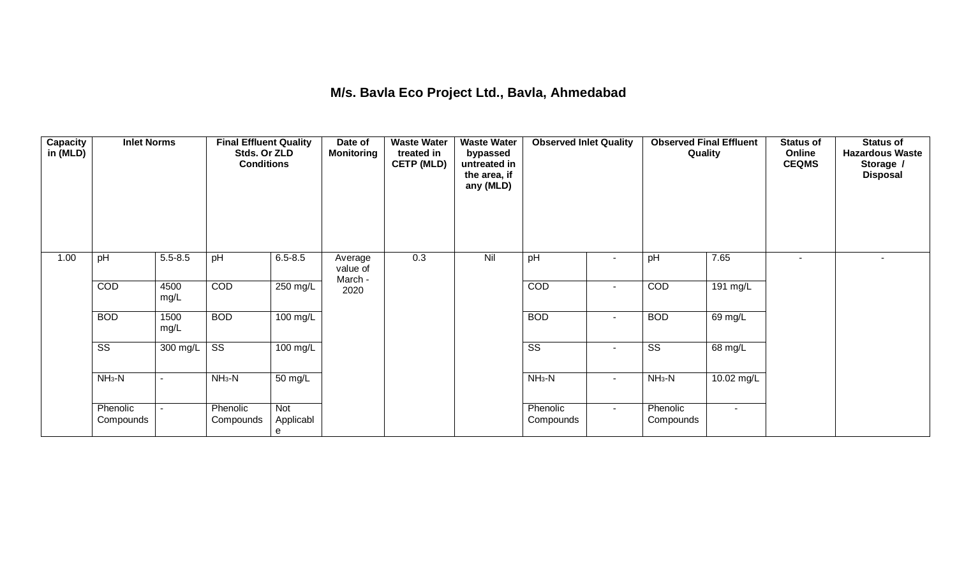### **M/s. Bavla Eco Project Ltd., Bavla, Ahmedabad**

| <b>Capacity</b><br>in (MLD) | <b>Inlet Norms</b>     |              | <b>Final Effluent Quality</b><br>Stds. Or ZLD<br><b>Conditions</b> |                       | Date of<br>Monitoring          | <b>Waste Water</b><br>treated in<br><b>CETP (MLD)</b> | <b>Waste Water</b><br>bypassed<br>untreated in<br>the area, if<br>any (MLD) | <b>Observed Inlet Quality</b> |                          | <b>Observed Final Effluent</b><br>Quality |                   | <b>Status of</b><br>Online<br><b>CEQMS</b> | <b>Status of</b><br><b>Hazardous Waste</b><br>Storage /<br><b>Disposal</b> |
|-----------------------------|------------------------|--------------|--------------------------------------------------------------------|-----------------------|--------------------------------|-------------------------------------------------------|-----------------------------------------------------------------------------|-------------------------------|--------------------------|-------------------------------------------|-------------------|--------------------------------------------|----------------------------------------------------------------------------|
| 1.00                        | pH                     | $5.5 - 8.5$  | pH                                                                 | $6.5 - 8.5$           | Average<br>value of<br>March - | 0.3                                                   | Nil                                                                         | pH                            | $\overline{\phantom{a}}$ | pH                                        | 7.65              | ٠                                          |                                                                            |
|                             | COD                    | 4500<br>mg/L | COD                                                                | 250 mg/L              | 2020                           |                                                       |                                                                             | COD                           | $\sim$                   | COD                                       | 191 mg/L          |                                            |                                                                            |
|                             | <b>BOD</b>             | 1500<br>mg/L | <b>BOD</b>                                                         | $100 \text{ mg/L}$    |                                |                                                       |                                                                             | <b>BOD</b>                    | $\blacksquare$           | <b>BOD</b>                                | 69 mg/L           |                                            |                                                                            |
|                             | $\overline{\text{ss}}$ | 300 mg/L     | $\overline{\text{ss}}$                                             | $100 \text{ mg/L}$    |                                |                                                       |                                                                             | $\overline{\text{ss}}$        | $\blacksquare$           | $\overline{\text{SS}}$                    | $68 \text{ mg/L}$ |                                            |                                                                            |
|                             | $NH3-N$                | $\sim$       | $NH3-N$                                                            | 50 mg/L               |                                |                                                       |                                                                             | $NH3-N$                       | $\sim$                   | $NH3-N$                                   | 10.02 mg/L        |                                            |                                                                            |
|                             | Phenolic<br>Compounds  | $\sim$       | Phenolic<br>Compounds                                              | Not<br>Applicabl<br>e |                                |                                                       |                                                                             | Phenolic<br>Compounds         | $\sim$                   | Phenolic<br>Compounds                     | $\sim$            |                                            |                                                                            |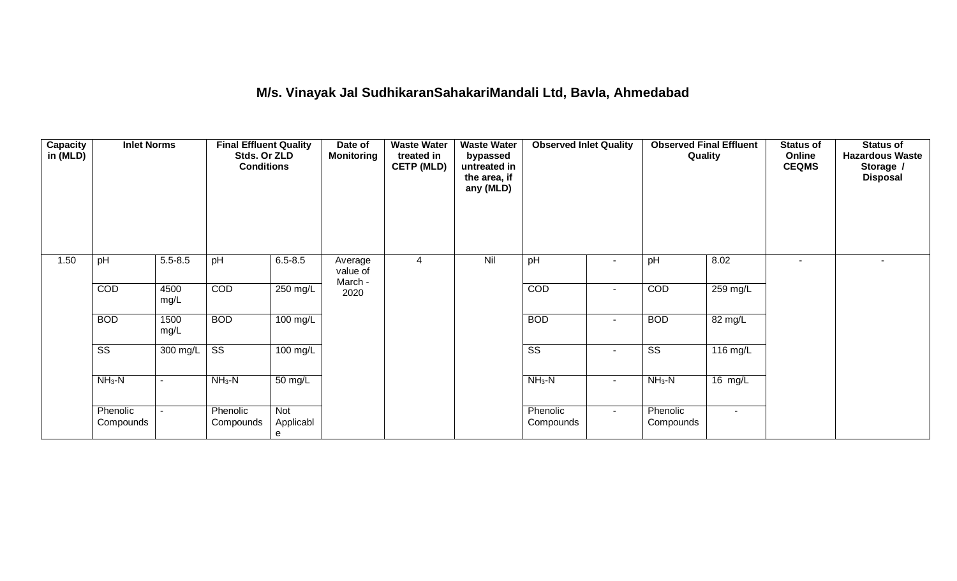# **M/s. Vinayak Jal SudhikaranSahakariMandali Ltd, Bavla, Ahmedabad**

| <b>Capacity</b><br>in (MLD) | <b>Inlet Norms</b>     |                | <b>Final Effluent Quality</b><br>Stds. Or ZLD<br><b>Conditions</b> |                       | Date of<br>Monitoring          | <b>Waste Water</b><br>treated in<br><b>CETP (MLD)</b> | <b>Waste Water</b><br>bypassed<br>untreated in<br>the area, if<br>any (MLD) | <b>Observed Inlet Quality</b> |                          | <b>Observed Final Effluent</b><br>Quality |                    | Status of<br>Online<br><b>CEQMS</b> | Status of<br><b>Hazardous Waste</b><br>Storage /<br><b>Disposal</b> |
|-----------------------------|------------------------|----------------|--------------------------------------------------------------------|-----------------------|--------------------------------|-------------------------------------------------------|-----------------------------------------------------------------------------|-------------------------------|--------------------------|-------------------------------------------|--------------------|-------------------------------------|---------------------------------------------------------------------|
| 1.50                        | pH                     | $5.5 - 8.5$    | pH                                                                 | $6.5 - 8.5$           | Average<br>value of<br>March - | 4                                                     | Nil                                                                         | pH                            | $\overline{\phantom{a}}$ | pH                                        | 8.02               |                                     |                                                                     |
|                             | COD                    | 4500<br>mg/L   | COD                                                                | 250 mg/L              | 2020                           |                                                       |                                                                             | COD                           | $\blacksquare$           | COD                                       | 259 mg/L           |                                     |                                                                     |
|                             | <b>BOD</b>             | 1500<br>mg/L   | <b>BOD</b>                                                         | $100 \text{ mg/L}$    |                                |                                                       |                                                                             | <b>BOD</b>                    | $\blacksquare$           | <b>BOD</b>                                | 82 mg/L            |                                     |                                                                     |
|                             | $\overline{\text{ss}}$ | 300 mg/L       | $\overline{\text{ss}}$                                             | $100 \text{ mg/L}$    |                                |                                                       |                                                                             | $\overline{\text{ss}}$        | $\sim$                   | $\overline{\text{ss}}$                    | $116 \text{ mg/L}$ |                                     |                                                                     |
|                             | $NH3-N$                | $\blacksquare$ | $NH3-N$                                                            | 50 mg/L               |                                |                                                       |                                                                             | $NH3-N$                       | $\sim$                   | $NH3-N$                                   | $16 \text{ mg/L}$  |                                     |                                                                     |
|                             | Phenolic<br>Compounds  | $\sim$         | Phenolic<br>Compounds                                              | Not<br>Applicabl<br>e |                                |                                                       |                                                                             | Phenolic<br>Compounds         | $\sim$                   | Phenolic<br>Compounds                     | $\blacksquare$     |                                     |                                                                     |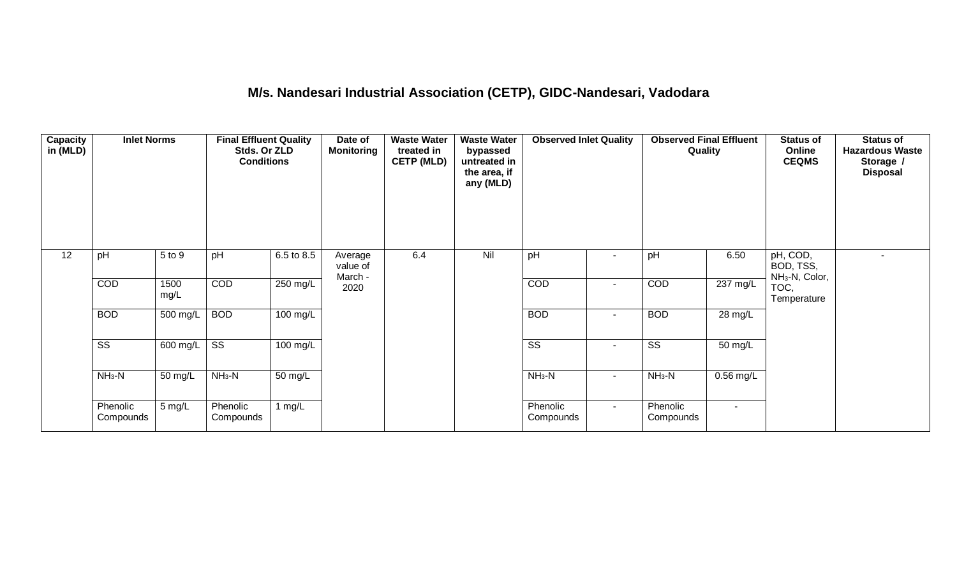## **M/s. Nandesari Industrial Association (CETP), GIDC-Nandesari, Vadodara**

| <b>Capacity</b><br>in (MLD) | <b>Inlet Norms</b>     |                  | <b>Final Effluent Quality</b><br>Stds. Or ZLD<br><b>Conditions</b> |                      | Date of<br>Monitoring          | <b>Waste Water</b><br>treated in<br><b>CETP (MLD)</b> | <b>Waste Water</b><br>bypassed<br>untreated in<br>the area, if<br>any (MLD) | <b>Observed Inlet Quality</b> |                | <b>Observed Final Effluent</b><br>Quality |             | <b>Status of</b><br>Online<br><b>CEQMS</b>          | <b>Status of</b><br><b>Hazardous Waste</b><br>Storage /<br><b>Disposal</b> |
|-----------------------------|------------------------|------------------|--------------------------------------------------------------------|----------------------|--------------------------------|-------------------------------------------------------|-----------------------------------------------------------------------------|-------------------------------|----------------|-------------------------------------------|-------------|-----------------------------------------------------|----------------------------------------------------------------------------|
| $\overline{12}$             | pH                     | 5 to 9           | pH                                                                 | 6.5 to 8.5           | Average<br>value of<br>March - | 6.4                                                   | Nil                                                                         | pH                            |                | pH                                        | 6.50        | pH, COD,<br>BOD, TSS,<br>NH <sub>3</sub> -N, Color, |                                                                            |
|                             | COD                    | 1500<br>mg/L     | COD                                                                | 250 mg/L             | 2020                           |                                                       |                                                                             | COD                           | $\sim$         | COD                                       | 237 mg/L    | TOC,<br>Temperature                                 |                                                                            |
|                             | <b>BOD</b>             | 500 mg/L         | <b>BOD</b>                                                         | 100 mg/L             |                                |                                                       |                                                                             | <b>BOD</b>                    | $\blacksquare$ | <b>BOD</b>                                | 28 mg/L     |                                                     |                                                                            |
|                             | $\overline{\text{ss}}$ | 600 mg/L         | $\overline{\text{ss}}$                                             | $100$ mg/L           |                                |                                                       |                                                                             | $\overline{\text{SS}}$        | $\blacksquare$ | $\overline{\text{ss}}$                    | 50 mg/L     |                                                     |                                                                            |
|                             | $NH3-N$                | 50 mg/L          | $NH3-N$                                                            | $\overline{50}$ mg/L |                                |                                                       |                                                                             | $NH3-N$                       | $\blacksquare$ | $NH3-N$                                   | $0.56$ mg/L |                                                     |                                                                            |
|                             | Phenolic<br>Compounds  | $5 \text{ mg/L}$ | Phenolic<br>Compounds                                              | 1 mg/L               |                                |                                                       |                                                                             | Phenolic<br>Compounds         | $\sim$         | Phenolic<br>Compounds                     | $\sim$      |                                                     |                                                                            |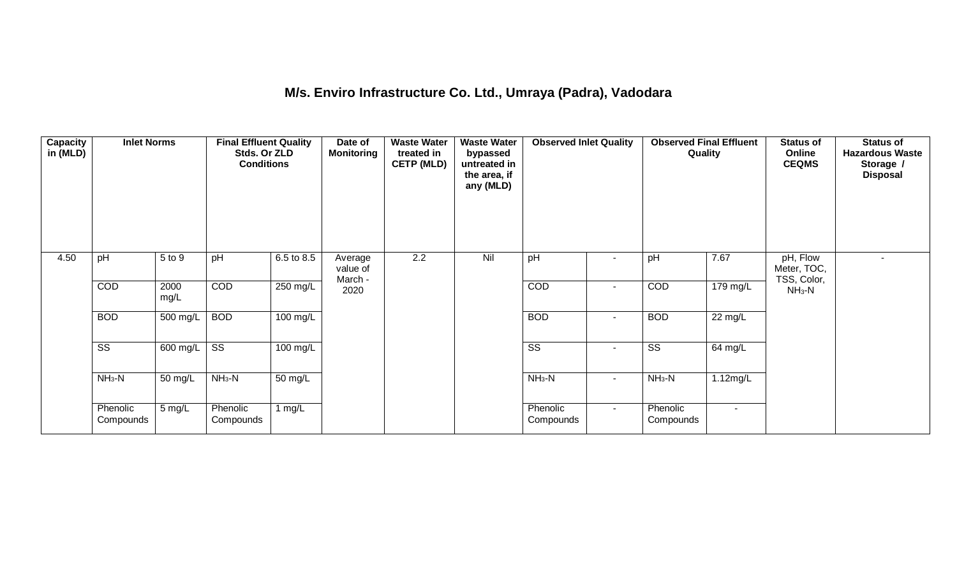## **M/s. Enviro Infrastructure Co. Ltd., Umraya (Padra), Vadodara**

| <b>Capacity</b><br>in (MLD) | <b>Inlet Norms</b>     |              | <b>Final Effluent Quality</b><br>Stds. Or ZLD<br><b>Conditions</b> |                      | Date of<br><b>Monitoring</b>   | <b>Waste Water</b><br>treated in<br><b>CETP (MLD)</b> | <b>Waste Water</b><br>bypassed<br>untreated in<br>the area, if<br>any (MLD) | <b>Observed Inlet Quality</b> |                          | <b>Observed Final Effluent</b><br>Quality |                        | <b>Status of</b><br>Online<br><b>CEQMS</b> | Status of<br><b>Hazardous Waste</b><br>Storage /<br><b>Disposal</b> |
|-----------------------------|------------------------|--------------|--------------------------------------------------------------------|----------------------|--------------------------------|-------------------------------------------------------|-----------------------------------------------------------------------------|-------------------------------|--------------------------|-------------------------------------------|------------------------|--------------------------------------------|---------------------------------------------------------------------|
| 4.50                        | pH                     | 5 to 9       | pH                                                                 | 6.5 to 8.5           | Average<br>value of<br>March - | $\overline{2.2}$                                      | Nil                                                                         | pH                            |                          | pH                                        | 7.67                   | pH, Flow<br>Meter, TOC,<br>TSS, Color,     |                                                                     |
|                             | COD                    | 2000<br>mg/L | COD                                                                | $250$ mg/L           | 2020                           |                                                       |                                                                             | COD                           | $\overline{\phantom{a}}$ | COD                                       | 179 mg/L               | $NH3-N$                                    |                                                                     |
|                             | <b>BOD</b>             | 500 mg/L     | <b>BOD</b>                                                         | $100 \text{ mg/L}$   |                                |                                                       |                                                                             | <b>BOD</b>                    | $\blacksquare$           | <b>BOD</b>                                | $22 \text{ mg/L}$      |                                            |                                                                     |
|                             | $\overline{\text{ss}}$ | 600 mg/L     | $\overline{\text{ss}}$                                             | $100 \text{ mg/L}$   |                                |                                                       |                                                                             | $\overline{\text{SS}}$        | $\sim$                   | $\overline{\text{SS}}$                    | 64 mg/L                |                                            |                                                                     |
|                             | $NH3-N$                | 50 mg/L      | $NH3-N$                                                            | $\overline{50}$ mg/L |                                |                                                       |                                                                             | $NH3-N$                       | $\blacksquare$           | $NH3-N$                                   | $\overline{1.12}$ mg/L |                                            |                                                                     |
|                             | Phenolic<br>Compounds  | 5 mg/L       | Phenolic<br>Compounds                                              | 1 $mg/L$             |                                |                                                       |                                                                             | Phenolic<br>Compounds         | $\sim$                   | Phenolic<br>Compounds                     | $\sim$                 |                                            |                                                                     |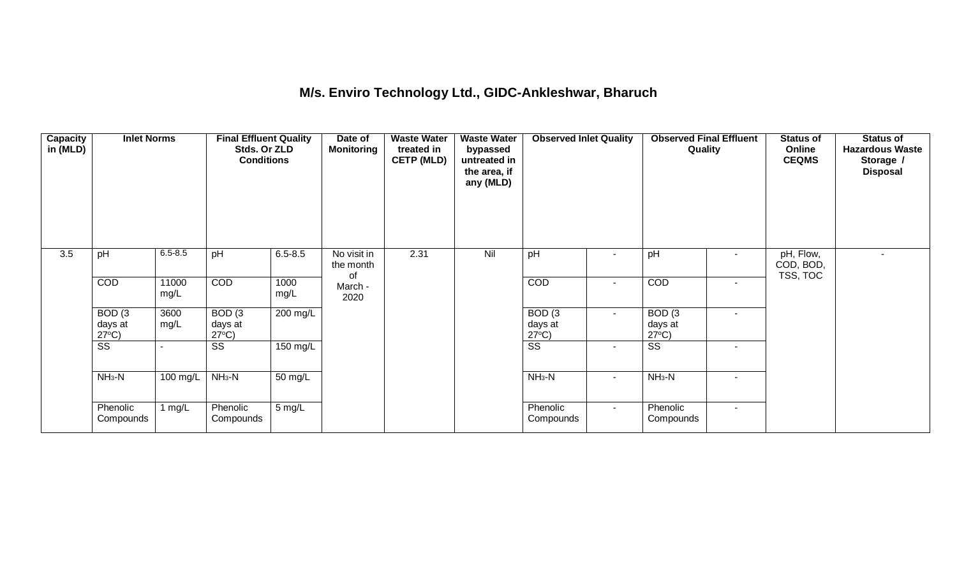## **M/s. Enviro Technology Ltd., GIDC-Ankleshwar, Bharuch**

| <b>Capacity</b><br>in (MLD) | <b>Inlet Norms</b>                   |                       | <b>Final Effluent Quality</b><br>Stds. Or ZLD<br><b>Conditions</b> |              | Date of<br><b>Monitoring</b>   | <b>Waste Water</b><br>treated in<br><b>CETP (MLD)</b> | <b>Waste Water</b><br>bypassed<br>untreated in<br>the area, if<br>any (MLD) | <b>Observed Inlet Quality</b> |                          | <b>Observed Final Effluent</b><br>Quality |        | <b>Status of</b><br>Online<br><b>CEQMS</b> | <b>Status of</b><br><b>Hazardous Waste</b><br>Storage /<br><b>Disposal</b> |
|-----------------------------|--------------------------------------|-----------------------|--------------------------------------------------------------------|--------------|--------------------------------|-------------------------------------------------------|-----------------------------------------------------------------------------|-------------------------------|--------------------------|-------------------------------------------|--------|--------------------------------------------|----------------------------------------------------------------------------|
| 3.5                         | pH                                   | $6.5 - 8.5$           | pH                                                                 | $6.5 - 8.5$  | No visit in<br>the month<br>of | 2.31                                                  | Nil                                                                         | pH                            | $\overline{\phantom{a}}$ | pH                                        |        | pH, Flow,<br>COD, BOD,<br>TSS, TOC         |                                                                            |
|                             | COD                                  | 11000<br>mg/L         | COD                                                                | 1000<br>mg/L | March -<br>2020                |                                                       |                                                                             | COD                           | $\blacksquare$           | COD                                       | $\sim$ |                                            |                                                                            |
|                             | BOD(3)<br>days at<br>$27^{\circ}C$ ) | 3600<br>mg/L          | BOD(3)<br>days at<br>$27^{\circ}C$ )                               | 200 mg/L     |                                |                                                       |                                                                             | BOD(3)<br>days at             | $\blacksquare$           | BOD(3)<br>days at<br>$27^{\circ}$ C)      | $\sim$ |                                            |                                                                            |
|                             | $\overline{\text{ss}}$               |                       | $\overline{\text{ss}}$                                             | 150 mg/L     |                                |                                                       |                                                                             | $\frac{27^{\circ}C}{SS}$      | $\sim$                   | $\overline{\text{ss}}$                    |        |                                            |                                                                            |
|                             | $NH3-N$                              | $\overline{100}$ mg/L | $NH3-N$                                                            | 50 mg/L      |                                |                                                       |                                                                             | $NH3-N$                       | $\blacksquare$           | $NH3-N$                                   |        |                                            |                                                                            |
|                             | Phenolic<br>Compounds                | 1 $mg/L$              | Phenolic<br>Compounds                                              | 5 mg/L       |                                |                                                       |                                                                             | Phenolic<br>Compounds         | $\sim$                   | Phenolic<br>Compounds                     | $\sim$ |                                            |                                                                            |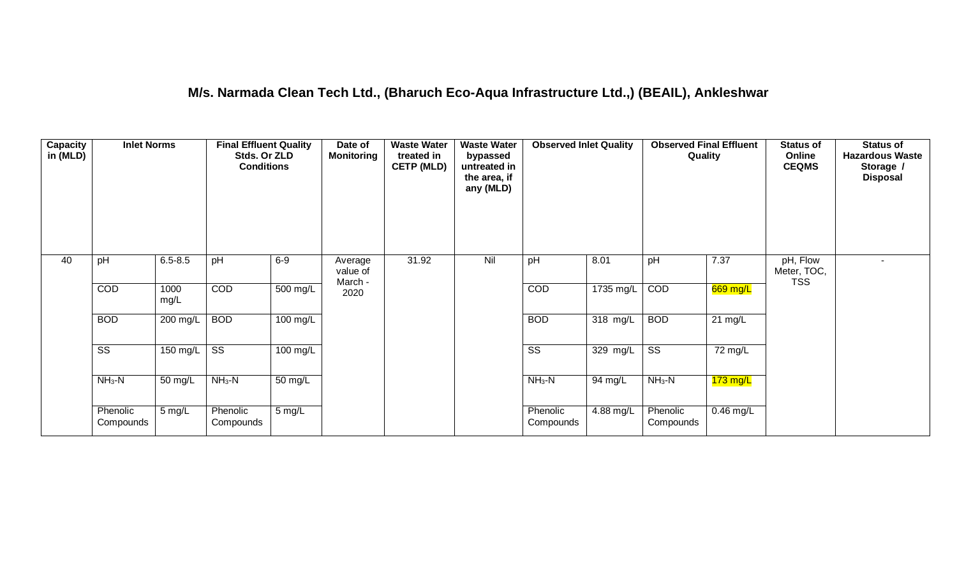### **M/s. Narmada Clean Tech Ltd., (Bharuch Eco-Aqua Infrastructure Ltd.,) (BEAIL), Ankleshwar**

| <b>Capacity</b><br>in (MLD) | <b>Inlet Norms</b>     |              | <b>Final Effluent Quality</b><br>Stds. Or ZLD<br><b>Conditions</b> |            | Date of<br><b>Monitoring</b>   | <b>Waste Water</b><br>treated in<br><b>CETP (MLD)</b> | <b>Waste Water</b><br>bypassed<br>untreated in<br>the area, if<br>any (MLD) | <b>Observed Inlet Quality</b> |            | <b>Observed Final Effluent</b><br>Quality |                   | <b>Status of</b><br>Online<br><b>CEQMS</b> | <b>Status of</b><br><b>Hazardous Waste</b><br>Storage /<br><b>Disposal</b> |
|-----------------------------|------------------------|--------------|--------------------------------------------------------------------|------------|--------------------------------|-------------------------------------------------------|-----------------------------------------------------------------------------|-------------------------------|------------|-------------------------------------------|-------------------|--------------------------------------------|----------------------------------------------------------------------------|
| 40                          | pH                     | $6.5 - 8.5$  | pH                                                                 | $6-9$      | Average<br>value of<br>March - | 31.92                                                 | Nil                                                                         | pH                            | 8.01       | pH                                        | 7.37              | pH, Flow<br>Meter, TOC,<br><b>TSS</b>      |                                                                            |
|                             | COD                    | 1000<br>mg/L | COD                                                                | 500 mg/L   | 2020                           |                                                       |                                                                             | COD                           | 1735 mg/L  | COD                                       | 669 mg/L          |                                            |                                                                            |
|                             | <b>BOD</b>             | 200 mg/L     | <b>BOD</b>                                                         | $100$ mg/L |                                |                                                       |                                                                             | <b>BOD</b>                    | $318$ mg/L | <b>BOD</b>                                | $21 \text{ mg/L}$ |                                            |                                                                            |
|                             | $\overline{\text{ss}}$ | 150 mg/L $ $ | $\overline{\text{ss}}$                                             | $100$ mg/L |                                |                                                       |                                                                             | $\overline{\text{ss}}$        | 329 mg/L   | $\overline{\text{ss}}$                    | 72 mg/L           |                                            |                                                                            |
|                             | $NH3-N$                | 50 mg/L      | $NH3-N$                                                            | 50 mg/L    |                                |                                                       |                                                                             | $NH3-N$                       | 94 mg/L    | $NH3-N$                                   | $173$ mg/L        |                                            |                                                                            |
|                             | Phenolic<br>Compounds  | 5 mg/L       | Phenolic<br>Compounds                                              | 5 mg/L     |                                |                                                       |                                                                             | Phenolic<br>Compounds         | 4.88 mg/L  | Phenolic<br>Compounds                     | $0.46$ mg/L       |                                            |                                                                            |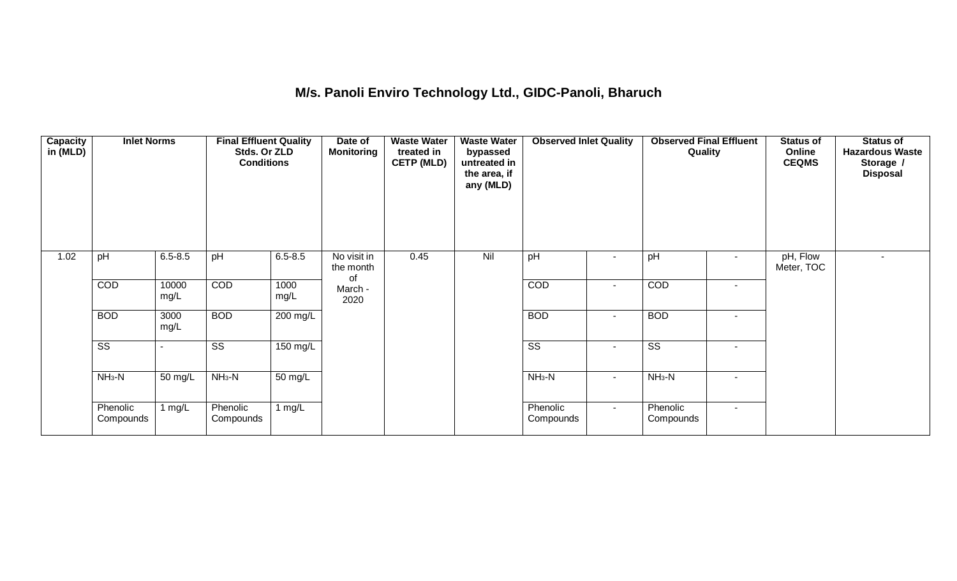## **M/s. Panoli Enviro Technology Ltd., GIDC-Panoli, Bharuch**

| <b>Capacity</b><br>in (MLD) | <b>Inlet Norms</b>     |                      | <b>Final Effluent Quality</b><br>Stds. Or ZLD<br><b>Conditions</b> |                      | Date of<br><b>Monitoring</b>   | <b>Waste Water</b><br>treated in<br><b>CETP (MLD)</b> | <b>Waste Water</b><br>bypassed<br>untreated in<br>the area, if<br>any (MLD) | <b>Observed Inlet Quality</b> |                | <b>Observed Final Effluent</b><br>Quality |        | <b>Status of</b><br>Online<br><b>CEQMS</b> | <b>Status of</b><br><b>Hazardous Waste</b><br>Storage /<br><b>Disposal</b> |
|-----------------------------|------------------------|----------------------|--------------------------------------------------------------------|----------------------|--------------------------------|-------------------------------------------------------|-----------------------------------------------------------------------------|-------------------------------|----------------|-------------------------------------------|--------|--------------------------------------------|----------------------------------------------------------------------------|
| 1.02                        | pH                     | $6.5 - 8.5$          | pH                                                                 | $6.5 - 8.5$          | No visit in<br>the month<br>of | 0.45                                                  | Nil                                                                         | pH                            | $\blacksquare$ | pH                                        | $\sim$ | pH, Flow<br>Meter, TOC                     |                                                                            |
|                             | COD                    | 10000<br>mg/L        | COD                                                                | 1000<br>mg/L         | March -<br>2020                |                                                       |                                                                             | <b>COD</b>                    | $\sim$         | COD                                       | $\sim$ |                                            |                                                                            |
|                             | <b>BOD</b>             | 3000<br>mg/L         | <b>BOD</b>                                                         | $200 \text{ mg/L}$   |                                |                                                       |                                                                             | <b>BOD</b>                    | $\sim$         | <b>BOD</b>                                | $\sim$ |                                            |                                                                            |
|                             | $\overline{\text{ss}}$ |                      | $\overline{\text{ss}}$                                             | $150$ mg/L           |                                |                                                       |                                                                             | $\overline{\text{ss}}$        | $\blacksquare$ | $\overline{\text{SS}}$                    | $\sim$ |                                            |                                                                            |
|                             | $NH3-N$                | 50 mg/L              | $NH_3-N$                                                           | 50 mg/L              |                                |                                                       |                                                                             | $NH3-N$                       | $\sim$         | $NH3-N$                                   | $\sim$ |                                            |                                                                            |
|                             | Phenolic<br>Compounds  | 1 mg/ $\overline{L}$ | Phenolic<br>Compounds                                              | 1 mg/ $\overline{L}$ |                                |                                                       |                                                                             | Phenolic<br>Compounds         | $\sim$         | Phenolic<br>Compounds                     | $\sim$ |                                            |                                                                            |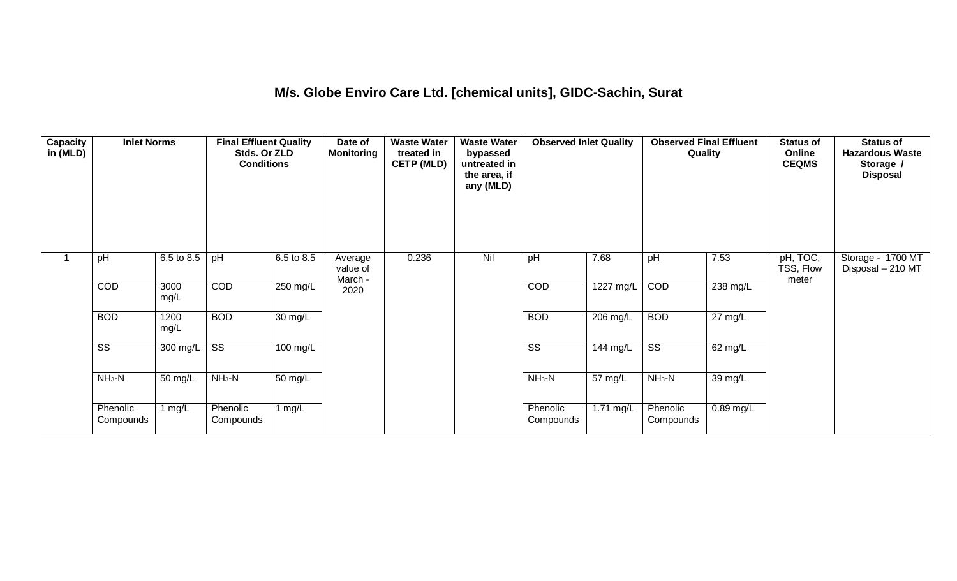## **M/s. Globe Enviro Care Ltd. [chemical units], GIDC-Sachin, Surat**

| Capacity<br>in (MLD) | <b>Inlet Norms</b>     |                       | <b>Final Effluent Quality</b><br>Stds. Or ZLD<br><b>Conditions</b> |                   | Date of<br><b>Monitoring</b>   | <b>Waste Water</b><br>treated in<br><b>CETP (MLD)</b> | <b>Waste Water</b><br>bypassed<br>untreated in<br>the area, if<br>any (MLD) | <b>Observed Inlet Quality</b> |                    | <b>Observed Final Effluent</b><br>Quality |                   | <b>Status of</b><br>Online<br><b>CEQMS</b> | <b>Status of</b><br><b>Hazardous Waste</b><br>Storage /<br><b>Disposal</b> |
|----------------------|------------------------|-----------------------|--------------------------------------------------------------------|-------------------|--------------------------------|-------------------------------------------------------|-----------------------------------------------------------------------------|-------------------------------|--------------------|-------------------------------------------|-------------------|--------------------------------------------|----------------------------------------------------------------------------|
|                      | pH                     | 6.5 to 8.5            | pH                                                                 | 6.5 to 8.5        | Average<br>value of<br>March - | 0.236                                                 | Nil                                                                         | pH                            | 7.68               | pH                                        | 7.53              | pH, TOC,<br>TSS, Flow<br>meter             | Storage - 1700 MT<br>Disposal - 210 MT                                     |
|                      | COD                    | 3000<br>mg/L          | COD                                                                | 250 mg/L          | 2020                           |                                                       |                                                                             | COD                           | 1227 mg/L          | COD                                       | 238 mg/L          |                                            |                                                                            |
|                      | <b>BOD</b>             | 1200<br>mg/L          | <b>BOD</b>                                                         | $30 \text{ mg/L}$ |                                |                                                       |                                                                             | <b>BOD</b>                    | $206 \text{ mg/L}$ | <b>BOD</b>                                | $27 \text{ mg/L}$ |                                            |                                                                            |
|                      | $\overline{\text{ss}}$ | $\overline{300}$ mg/L | $\overline{\text{ss}}$                                             | $100$ mg/L        |                                |                                                       |                                                                             | $\overline{\text{ss}}$        | 144 mg/L           | $\overline{\text{ss}}$                    | $62 \text{ mg/L}$ |                                            |                                                                            |
|                      | $NH3-N$                | 50 mg/L               | $NH3-N$                                                            | 50 mg/L           |                                |                                                       |                                                                             | $NH3-N$                       | 57 mg/L            | $NH3-N$                                   | 39 mg/L           |                                            |                                                                            |
|                      | Phenolic<br>Compounds  | 1 mg/L                | Phenolic<br>Compounds                                              | 1 mg/L            |                                |                                                       |                                                                             | Phenolic<br>Compounds         | 1.71 mg/L          | Phenolic<br>Compounds                     | $0.89$ mg/L       |                                            |                                                                            |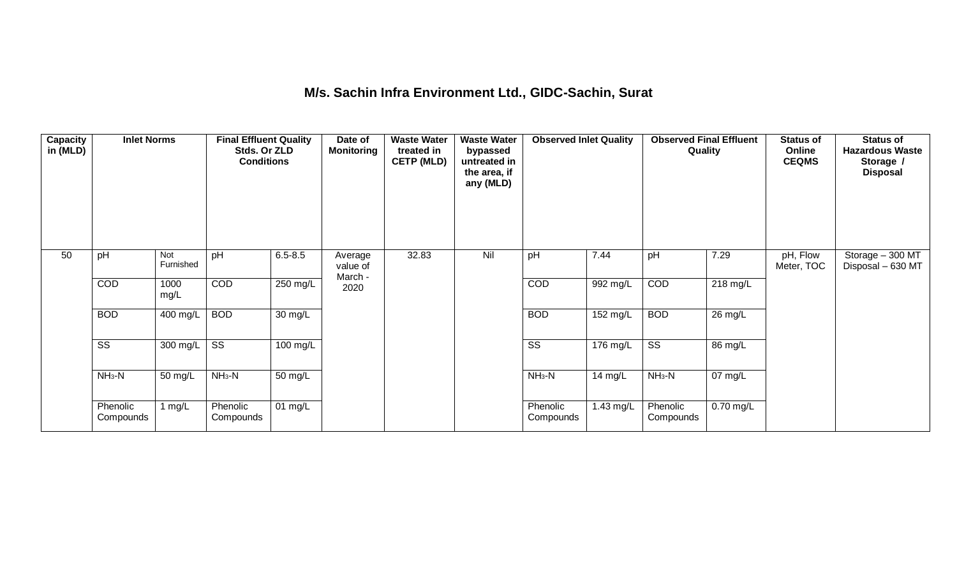## **M/s. Sachin Infra Environment Ltd., GIDC-Sachin, Surat**

| <b>Capacity</b><br>in (MLD) | <b>Inlet Norms</b>     |                         | <b>Final Effluent Quality</b><br>Stds. Or ZLD<br><b>Conditions</b> |                      | Date of<br><b>Monitoring</b>   | <b>Waste Water</b><br>treated in<br><b>CETP (MLD)</b> | <b>Waste Water</b><br>bypassed<br>untreated in<br>the area, if<br>any (MLD) | <b>Observed Inlet Quality</b> |            | <b>Observed Final Effluent</b><br>Quality |                    | <b>Status of</b><br>Online<br><b>CEQMS</b> | <b>Status of</b><br><b>Hazardous Waste</b><br>Storage /<br><b>Disposal</b> |
|-----------------------------|------------------------|-------------------------|--------------------------------------------------------------------|----------------------|--------------------------------|-------------------------------------------------------|-----------------------------------------------------------------------------|-------------------------------|------------|-------------------------------------------|--------------------|--------------------------------------------|----------------------------------------------------------------------------|
| 50                          | pH                     | <b>Not</b><br>Furnished | pH                                                                 | $6.5 - 8.5$          | Average<br>value of<br>March - | 32.83                                                 | Nil                                                                         | pH                            | 7.44       | pH                                        | 7.29               | pH, Flow<br>Meter, TOC                     | Storage - 300 MT<br>Disposal - 630 MT                                      |
|                             | COD                    | 1000<br>mg/L            | COD                                                                | 250 mg/L             | 2020                           |                                                       |                                                                             | COD                           | 992 mg/L   | COD                                       | $218 \text{ mg/L}$ |                                            |                                                                            |
|                             | <b>BOD</b>             | 400 mg/L                | <b>BOD</b>                                                         | $30 \text{ mg/L}$    |                                |                                                       |                                                                             | <b>BOD</b>                    | 152 mg/L   | <b>BOD</b>                                | $26$ mg/L          |                                            |                                                                            |
|                             | $\overline{\text{ss}}$ | 300 mg/L                | $\overline{\text{ss}}$                                             | 100 mg/L             |                                |                                                       |                                                                             | $\overline{\text{ss}}$        | $176$ mg/L | $\overline{\text{ss}}$                    | 86 mg/L            |                                            |                                                                            |
|                             | $NH3-N$                | 50 mg/L                 | $NH3-N$                                                            | $\overline{50}$ mg/L |                                |                                                       |                                                                             | $NH3-N$                       | 14 $mg/L$  | $NH3-N$                                   | $07 \text{ mg/L}$  |                                            |                                                                            |
|                             | Phenolic<br>Compounds  | 1 mg/L                  | Phenolic<br>Compounds                                              | 01 mg/L              |                                |                                                       |                                                                             | Phenolic<br>Compounds         | 1.43 mg/L  | Phenolic<br>Compounds                     | $0.70$ mg/L        |                                            |                                                                            |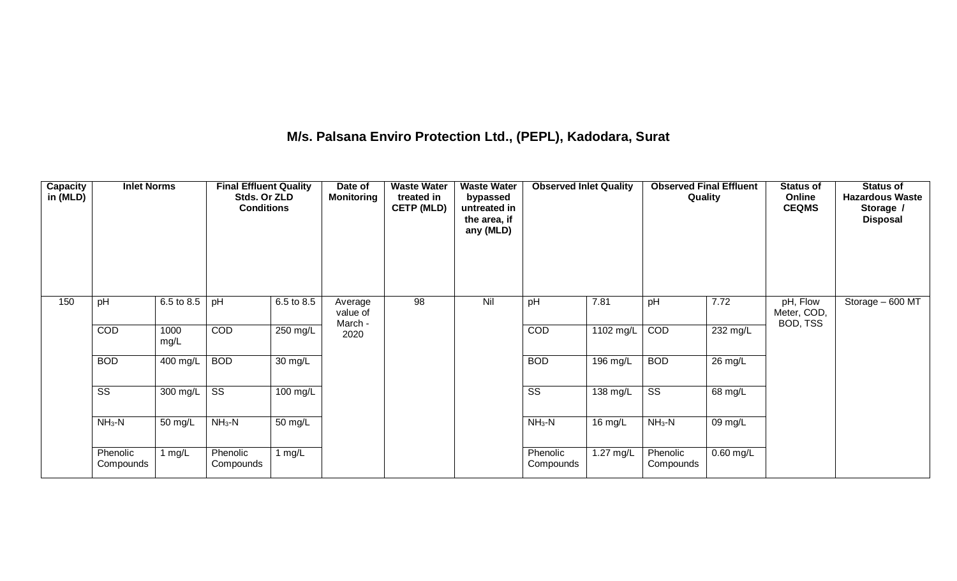## **M/s. Palsana Enviro Protection Ltd., (PEPL), Kadodara, Surat**

| <b>Capacity</b><br>in (MLD) | <b>Inlet Norms</b>     |                       | <b>Final Effluent Quality</b><br>Stds. Or ZLD<br><b>Conditions</b> |                      | Date of<br><b>Monitoring</b>   | <b>Waste Water</b><br>treated in<br><b>CETP (MLD)</b> | <b>Waste Water</b><br>bypassed<br>untreated in<br>the area, if<br>any (MLD) | <b>Observed Inlet Quality</b> |            | <b>Observed Final Effluent</b><br>Quality |                   | <b>Status of</b><br>Online<br><b>CEQMS</b> | <b>Status of</b><br><b>Hazardous Waste</b><br>Storage /<br><b>Disposal</b> |
|-----------------------------|------------------------|-----------------------|--------------------------------------------------------------------|----------------------|--------------------------------|-------------------------------------------------------|-----------------------------------------------------------------------------|-------------------------------|------------|-------------------------------------------|-------------------|--------------------------------------------|----------------------------------------------------------------------------|
| 150                         | pH                     | 6.5 to 8.5            | pH                                                                 | 6.5 to 8.5           | Average<br>value of<br>March - | 98                                                    | Nil                                                                         | pH                            | 7.81       | pH                                        | 7.72              | pH, Flow<br>Meter, COD,<br>BOD, TSS        | Storage - 600 MT                                                           |
|                             | COD                    | 1000<br>mg/L          | COD                                                                | 250 mg/L             | 2020                           |                                                       |                                                                             | COD                           | 1102 mg/L  | COD                                       | 232 mg/L          |                                            |                                                                            |
|                             | <b>BOD</b>             | $\overline{400}$ mg/L | <b>BOD</b>                                                         | $\overline{30}$ mg/L |                                |                                                       |                                                                             | <b>BOD</b>                    | $196$ mg/L | <b>BOD</b>                                | $26 \text{ mg/L}$ |                                            |                                                                            |
|                             | $\overline{\text{SS}}$ | $300 \text{ mg/L}$    | $\overline{\text{SS}}$                                             | $100$ mg/L           |                                |                                                       |                                                                             | $\overline{\text{ss}}$        | 138 mg/L   | $\overline{\text{SS}}$                    | 68 mg/L           |                                            |                                                                            |
|                             | $NH3-N$                | 50 mg/L               | $NH3-N$                                                            | 50 mg/L              |                                |                                                       |                                                                             | $NH3-N$                       | 16 mg/L    | $NH3-N$                                   | 09 mg/L           |                                            |                                                                            |
|                             | Phenolic<br>Compounds  | 1 $mg/L$              | Phenolic<br>Compounds                                              | 1 $mg/L$             |                                |                                                       |                                                                             | Phenolic<br>Compounds         | 1.27 mg/L  | Phenolic<br>Compounds                     | $0.60$ mg/L       |                                            |                                                                            |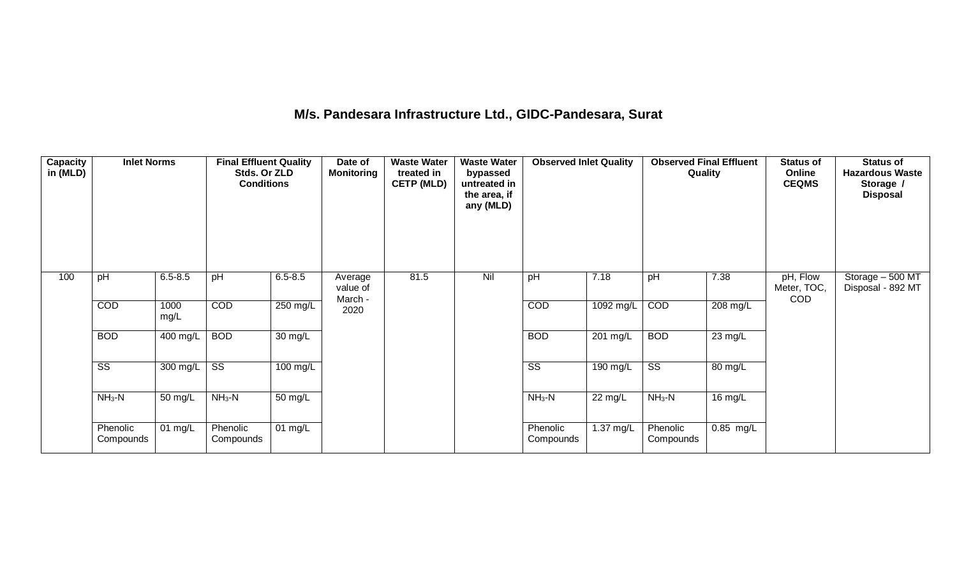### **M/s. Pandesara Infrastructure Ltd., GIDC-Pandesara, Surat**

| <b>Capacity</b><br>in (MLD) | <b>Inlet Norms</b>     |                       | <b>Final Effluent Quality</b><br>Stds. Or ZLD<br><b>Conditions</b> |                   | Date of<br><b>Monitoring</b>   | <b>Waste Water</b><br>treated in<br><b>CETP (MLD)</b> | <b>Waste Water</b><br>bypassed<br>untreated in<br>the area, if<br>any (MLD) | <b>Observed Inlet Quality</b> |           | <b>Observed Final Effluent</b><br>Quality |                   | <b>Status of</b><br>Online<br><b>CEQMS</b> | <b>Status of</b><br><b>Hazardous Waste</b><br>Storage /<br><b>Disposal</b> |
|-----------------------------|------------------------|-----------------------|--------------------------------------------------------------------|-------------------|--------------------------------|-------------------------------------------------------|-----------------------------------------------------------------------------|-------------------------------|-----------|-------------------------------------------|-------------------|--------------------------------------------|----------------------------------------------------------------------------|
| 100                         | pH                     | $6.5 - 8.5$           | pH                                                                 | $6.5 - 8.5$       | Average<br>value of<br>March - | 81.5                                                  | Nil                                                                         | pH                            | 7.18      | pH                                        | 7.38              | pH, Flow<br>Meter, TOC,<br><b>COD</b>      | Storage - 500 MT<br>Disposal - 892 MT                                      |
|                             | COD                    | 1000<br>mg/L          | COD                                                                | 250 mg/L          | 2020                           |                                                       |                                                                             | COD                           | 1092 mg/L | COD                                       | 208 mg/L          |                                            |                                                                            |
|                             | <b>BOD</b>             | $\overline{400}$ mg/L | <b>BOD</b>                                                         | $30 \text{ mg/L}$ |                                |                                                       |                                                                             | <b>BOD</b>                    | 201 mg/L  | <b>BOD</b>                                | $23 \text{ mg/L}$ |                                            |                                                                            |
|                             | $\overline{\text{SS}}$ | 300 mg/L              | $\overline{\text{ss}}$                                             | 100 mg/L          |                                |                                                       |                                                                             | $\overline{\text{ss}}$        | 190 mg/L  | $\overline{\text{SS}}$                    | 80 mg/L           |                                            |                                                                            |
|                             | $NH3-N$                | 50 mg/L               | $NH3-N$                                                            | $50 \text{ mg/L}$ |                                |                                                       |                                                                             | $NH3-N$                       | 22 mg/L   | $NH3-N$                                   | $16 \text{ mg/L}$ |                                            |                                                                            |
|                             | Phenolic<br>Compounds  | $01 \text{ mg/L}$     | Phenolic<br>Compounds                                              | 01 $mg/L$         |                                |                                                       |                                                                             | Phenolic<br>Compounds         | 1.37 mg/L | Phenolic<br>Compounds                     | $0.85$ mg/L       |                                            |                                                                            |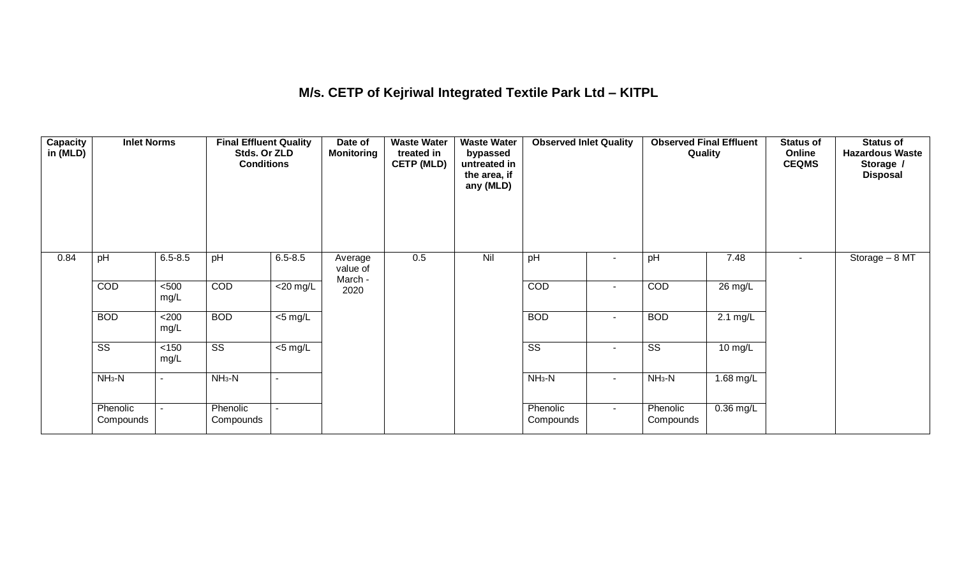## **M/s. CETP of Kejriwal Integrated Textile Park Ltd – KITPL**

| <b>Capacity</b><br>in (MLD) | <b>Inlet Norms</b>     |                | <b>Final Effluent Quality</b><br>Stds. Or ZLD<br><b>Conditions</b> |                          | Date of<br>Monitoring          | <b>Waste Water</b><br>treated in<br><b>CETP (MLD)</b> | <b>Waste Water</b><br>bypassed<br>untreated in<br>the area, if<br>any (MLD) | <b>Observed Inlet Quality</b> |                | <b>Observed Final Effluent</b><br>Quality |                    | Status of<br>Online<br><b>CEQMS</b> | Status of<br><b>Hazardous Waste</b><br>Storage /<br><b>Disposal</b> |
|-----------------------------|------------------------|----------------|--------------------------------------------------------------------|--------------------------|--------------------------------|-------------------------------------------------------|-----------------------------------------------------------------------------|-------------------------------|----------------|-------------------------------------------|--------------------|-------------------------------------|---------------------------------------------------------------------|
| 0.84                        | pH                     | $6.5 - 8.5$    | pH                                                                 | $6.5 - 8.5$              | Average<br>value of<br>March - | 0.5                                                   | Nil                                                                         | pH                            |                | pH                                        | 7.48               | ٠                                   | Storage - 8 MT                                                      |
|                             | COD                    | $500$<br>mg/L  | COD                                                                | $\overline{\leq}20$ mg/L | 2020                           |                                                       |                                                                             | COD                           | $\blacksquare$ | COD                                       | 26 mg/L            |                                     |                                                                     |
|                             | <b>BOD</b>             | <200<br>mg/L   | <b>BOD</b>                                                         | $\overline{5}$ mg/L      |                                |                                                       |                                                                             | <b>BOD</b>                    | $\sim$         | <b>BOD</b>                                | $2.1 \text{ mg/L}$ |                                     |                                                                     |
|                             | $\overline{\text{ss}}$ | $<150$<br>mg/L | $\overline{\text{ss}}$                                             | $\overline{5}$ mg/L      |                                |                                                       |                                                                             | $\overline{\text{ss}}$        | $\blacksquare$ | $\overline{\text{ss}}$                    | $10 \text{ mg/L}$  |                                     |                                                                     |
|                             | $NH3-N$                | ٠              | $NH3-N$                                                            |                          |                                |                                                       |                                                                             | $NH3-N$                       | $\blacksquare$ | $NH3-N$                                   | $1.68$ mg/L        |                                     |                                                                     |
|                             | Phenolic<br>Compounds  |                | Phenolic<br>Compounds                                              |                          |                                |                                                       |                                                                             | Phenolic<br>Compounds         | $\sim$         | Phenolic<br>Compounds                     | $0.36$ mg/L        |                                     |                                                                     |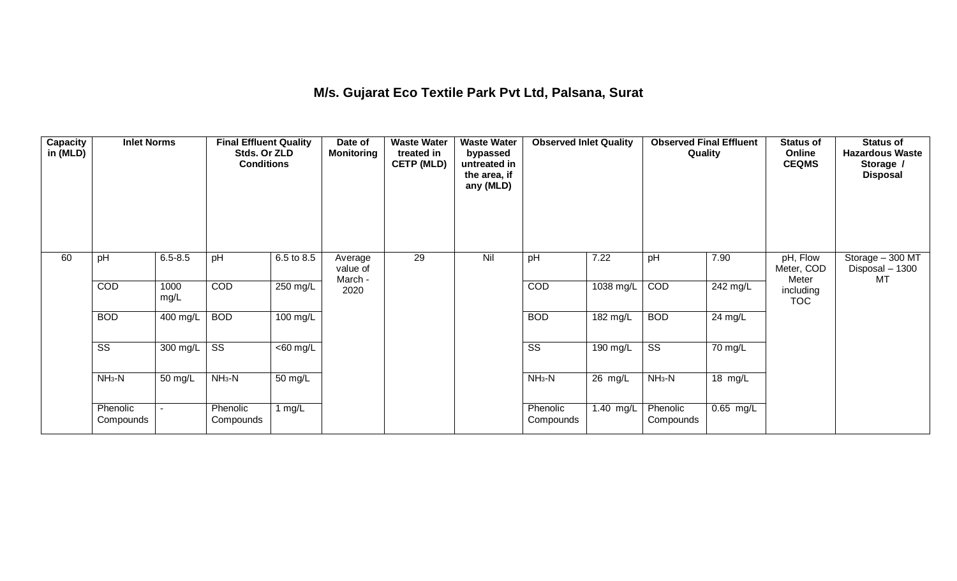### **M/s. Gujarat Eco Textile Park Pvt Ltd, Palsana, Surat**

| <b>Capacity</b><br>in (MLD) | <b>Inlet Norms</b>     |                       | <b>Final Effluent Quality</b><br>Stds. Or ZLD<br><b>Conditions</b> |                       | Date of<br><b>Monitoring</b>   | <b>Waste Water</b><br>treated in<br><b>CETP (MLD)</b> | <b>Waste Water</b><br>bypassed<br>untreated in<br>the area, if<br>any (MLD) | <b>Observed Inlet Quality</b> |                       | <b>Observed Final Effluent</b><br>Quality |                        | <b>Status of</b><br>Online<br><b>CEQMS</b> | <b>Status of</b><br><b>Hazardous Waste</b><br>Storage /<br><b>Disposal</b> |
|-----------------------------|------------------------|-----------------------|--------------------------------------------------------------------|-----------------------|--------------------------------|-------------------------------------------------------|-----------------------------------------------------------------------------|-------------------------------|-----------------------|-------------------------------------------|------------------------|--------------------------------------------|----------------------------------------------------------------------------|
| 60                          | pH                     | $6.5 - 8.5$           | pH                                                                 | 6.5 to 8.5            | Average<br>value of<br>March - | 29                                                    | Nil                                                                         | pH                            | 7.22                  | pH                                        | 7.90                   | pH, Flow<br>Meter, COD<br>Meter            | Storage - 300 MT<br>Disposal - 1300<br>MT                                  |
|                             | <b>COD</b>             | 1000<br>mg/L          | COD                                                                | 250 mg/L              | 2020                           |                                                       |                                                                             | COD                           | 1038 mg/L             | COD                                       | 242 mg/L               | including<br><b>TOC</b>                    |                                                                            |
|                             | <b>BOD</b>             | $\overline{400}$ mg/L | <b>BOD</b>                                                         | $100 \text{ mg/L}$    |                                |                                                       |                                                                             | <b>BOD</b>                    | $\overline{182}$ mg/L | <b>BOD</b>                                | 24 mg/L                |                                            |                                                                            |
|                             | $\overline{\text{SS}}$ | 300 mg/L              | $\overline{\text{ss}}$                                             | $\overline{<}60$ mg/L |                                |                                                       |                                                                             | $\overline{\text{ss}}$        | 190 mg/L              | $\overline{\text{SS}}$                    | 70 mg/L                |                                            |                                                                            |
|                             | $NH3-N$                | 50 mg/L               | $NH3-N$                                                            | $\overline{50}$ mg/L  |                                |                                                       |                                                                             | $NH3-N$                       | 26 mg/L               | $NH3-N$                                   | 18 mg/L                |                                            |                                                                            |
|                             | Phenolic<br>Compounds  |                       | Phenolic<br>Compounds                                              | 1 $mg/L$              |                                |                                                       |                                                                             | Phenolic<br>Compounds         | 1.40 mg/L             | Phenolic<br>Compounds                     | $\overline{0.65}$ mg/L |                                            |                                                                            |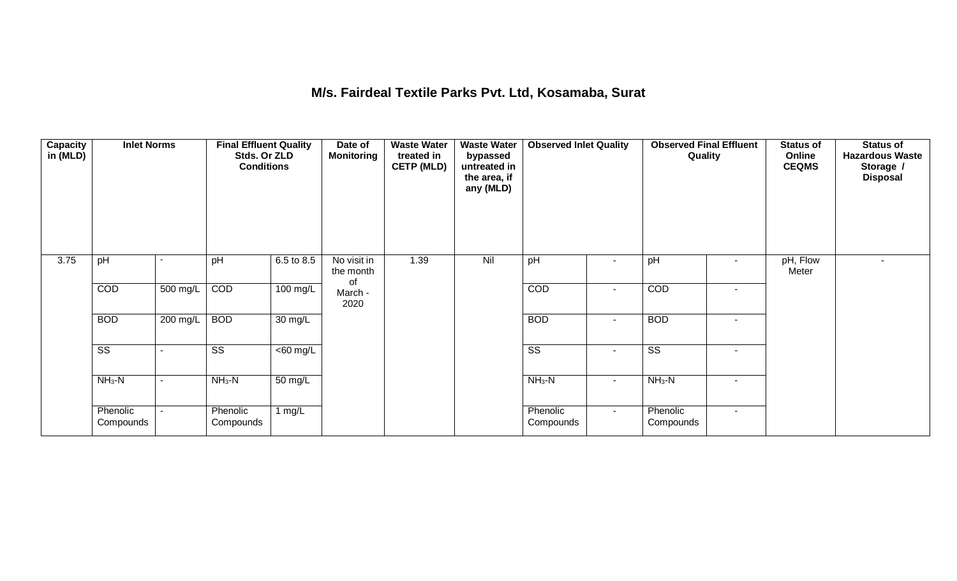## **M/s. Fairdeal Textile Parks Pvt. Ltd, Kosamaba, Surat**

| <b>Capacity</b><br>in (MLD) | <b>Inlet Norms</b>     |                | <b>Final Effluent Quality</b><br>Stds. Or ZLD<br><b>Conditions</b> |                               | Date of<br><b>Monitoring</b>   | <b>Waste Water</b><br>treated in<br><b>CETP (MLD)</b> | <b>Waste Water</b><br>bypassed<br>untreated in<br>the area, if<br>any (MLD) | <b>Observed Inlet Quality</b> |                          | <b>Observed Final Effluent</b><br>Quality |                          | Status of<br>Online<br><b>CEQMS</b> | <b>Status of</b><br><b>Hazardous Waste</b><br>Storage /<br><b>Disposal</b> |
|-----------------------------|------------------------|----------------|--------------------------------------------------------------------|-------------------------------|--------------------------------|-------------------------------------------------------|-----------------------------------------------------------------------------|-------------------------------|--------------------------|-------------------------------------------|--------------------------|-------------------------------------|----------------------------------------------------------------------------|
| 3.75                        | pH                     |                | pH                                                                 | 6.5 to 8.5                    | No visit in<br>the month<br>of | 1.39                                                  | Nil                                                                         | pH                            | $\sim$                   | pH                                        | ٠                        | pH, Flow<br>Meter                   |                                                                            |
|                             | COD                    | 500 mg/L       | COD                                                                | 100 mg/L                      | March -<br>2020                |                                                       |                                                                             | COD                           | $\blacksquare$           | COD                                       | $\blacksquare$           |                                     |                                                                            |
|                             | <b>BOD</b>             | 200 mg/L       | <b>BOD</b>                                                         | $30 \text{ mg/L}$             |                                |                                                       |                                                                             | <b>BOD</b>                    | $\blacksquare$           | <b>BOD</b>                                | $\overline{\phantom{a}}$ |                                     |                                                                            |
|                             | $\overline{\text{ss}}$ |                | $\overline{\text{SS}}$                                             | $\overline{<}60 \text{ mg/L}$ |                                |                                                       |                                                                             | $\overline{\text{ss}}$        | $\overline{\phantom{a}}$ | $\overline{\text{ss}}$                    | $\overline{\phantom{a}}$ |                                     |                                                                            |
|                             | $NH3-N$                | $\blacksquare$ | $NH3-N$                                                            | 50 mg/L                       |                                |                                                       |                                                                             | $NH3-N$                       | $\sim$                   | $NH3-N$                                   | $\blacksquare$           |                                     |                                                                            |
|                             | Phenolic<br>Compounds  |                | Phenolic<br>Compounds                                              | 1 $mg/L$                      |                                |                                                       |                                                                             | Phenolic<br>Compounds         | $\sim$                   | Phenolic<br>Compounds                     | $\sim$                   |                                     |                                                                            |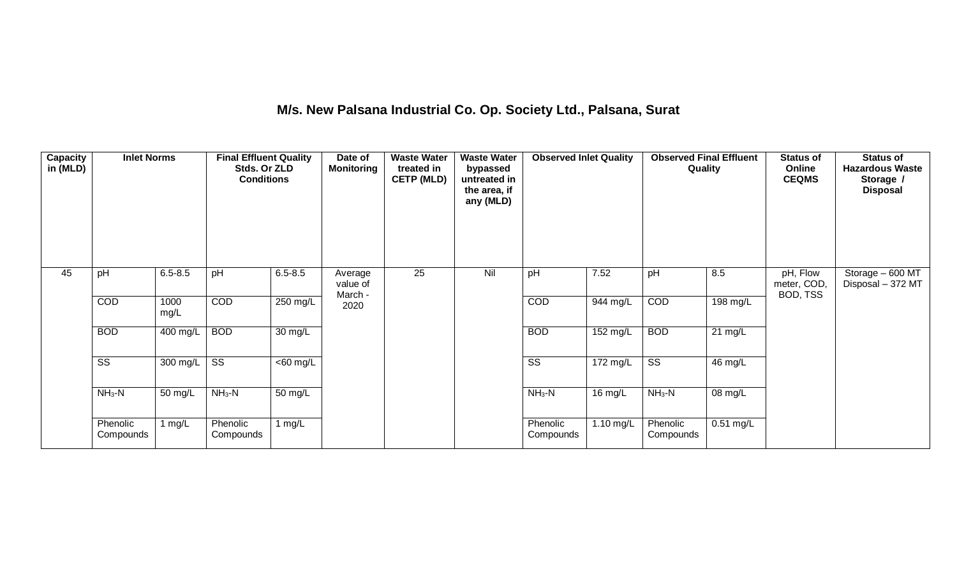## **M/s. New Palsana Industrial Co. Op. Society Ltd., Palsana, Surat**

| <b>Capacity</b><br>in (MLD) | <b>Inlet Norms</b>     |                       | <b>Final Effluent Quality</b><br>Stds. Or ZLD<br><b>Conditions</b> |                      | Date of<br><b>Monitoring</b>   | <b>Waste Water</b><br>treated in<br><b>CETP (MLD)</b> | <b>Waste Water</b><br>bypassed<br>untreated in<br>the area, if<br>any (MLD) | <b>Observed Inlet Quality</b> |           | Quality                | <b>Observed Final Effluent</b> | <b>Status of</b><br>Online<br><b>CEQMS</b> | <b>Status of</b><br><b>Hazardous Waste</b><br>Storage /<br><b>Disposal</b> |
|-----------------------------|------------------------|-----------------------|--------------------------------------------------------------------|----------------------|--------------------------------|-------------------------------------------------------|-----------------------------------------------------------------------------|-------------------------------|-----------|------------------------|--------------------------------|--------------------------------------------|----------------------------------------------------------------------------|
| 45                          | pH                     | $6.5 - 8.5$           | pH                                                                 | $6.5 - 8.5$          | Average<br>value of<br>March - | $\overline{25}$                                       | Nil                                                                         | pH                            | 7.52      | pH                     | 8.5                            | pH, Flow<br>meter, COD,<br>BOD, TSS        | Storage - 600 MT<br>Disposal - 372 MT                                      |
|                             | COD                    | 1000<br>mg/L          | COD                                                                | 250 mg/L             | 2020                           |                                                       |                                                                             | COD                           | 944 mg/L  | COD                    | 198 mg/L                       |                                            |                                                                            |
|                             | <b>BOD</b>             | $\overline{400}$ mg/L | <b>BOD</b>                                                         | $\overline{30}$ mg/L |                                |                                                       |                                                                             | <b>BOD</b>                    | 152 mg/L  | <b>BOD</b>             | $21 \text{ mg/L}$              |                                            |                                                                            |
|                             | $\overline{\text{SS}}$ | 300 mg/L              | $\overline{\text{SS}}$                                             | $<$ 60 mg/L          |                                |                                                       |                                                                             | $\overline{\text{SS}}$        | 172 mg/L  | $\overline{\text{ss}}$ | 46 mg/L                        |                                            |                                                                            |
|                             | $NH3-N$                | 50 mg/L               | $NH3-N$                                                            | 50 mg/L              |                                |                                                       |                                                                             | $NH3-N$                       | 16 mg/L   | $NH3-N$                | 08 mg/L                        |                                            |                                                                            |
|                             | Phenolic<br>Compounds  | 1 $mg/L$              | Phenolic<br>Compounds                                              | 1 $mg/L$             |                                |                                                       |                                                                             | Phenolic<br>Compounds         | 1.10 mg/L | Phenolic<br>Compounds  | $0.51$ mg/L                    |                                            |                                                                            |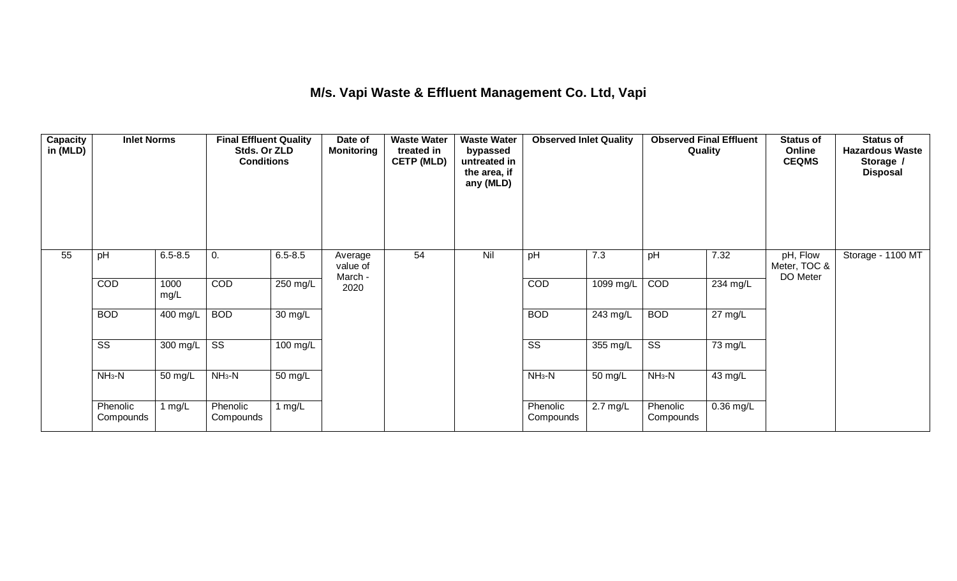## **M/s. Vapi Waste & Effluent Management Co. Ltd, Vapi**

| <b>Capacity</b><br>in (MLD) | <b>Inlet Norms</b><br>$6.5 - 8.5$<br>pH<br>0. |              | <b>Final Effluent Quality</b><br>Stds. Or ZLD<br><b>Conditions</b> |                      | Date of<br><b>Monitoring</b>   | <b>Waste Water</b><br>treated in<br><b>CETP (MLD)</b> | <b>Waste Water</b><br>bypassed<br>untreated in<br>the area, if<br>any (MLD) | <b>Observed Inlet Quality</b> |                    | Quality                |                       | <b>Status of</b><br>Online<br><b>CEQMS</b> | <b>Status of</b><br><b>Hazardous Waste</b><br>Storage /<br><b>Disposal</b> |
|-----------------------------|-----------------------------------------------|--------------|--------------------------------------------------------------------|----------------------|--------------------------------|-------------------------------------------------------|-----------------------------------------------------------------------------|-------------------------------|--------------------|------------------------|-----------------------|--------------------------------------------|----------------------------------------------------------------------------|
| 55                          |                                               |              |                                                                    | $6.5 - 8.5$          | Average<br>value of<br>March - | 54                                                    | Nil                                                                         | pH                            | 7.3                | pH                     | 7.32                  | pH, Flow<br>Meter, TOC &<br>DO Meter       | Storage - 1100 MT                                                          |
|                             | COD                                           | 1000<br>mg/L | COD                                                                | 250 mg/L             | 2020                           |                                                       |                                                                             | COD                           | 1099 mg/L          | COD                    | $\overline{234}$ mg/L |                                            |                                                                            |
|                             | <b>BOD</b>                                    | 400 mg/L     | <b>BOD</b>                                                         | $\overline{30}$ mg/L |                                |                                                       |                                                                             | <b>BOD</b>                    | 243 mg/L           | <b>BOD</b>             | 27 mg/L               |                                            |                                                                            |
|                             | $\overline{\text{SS}}$                        | 300 mg/L     | $\overline{\text{SS}}$                                             | $100$ mg/L           |                                |                                                       |                                                                             | $\overline{\text{ss}}$        | 355 mg/L           | $\overline{\text{SS}}$ | 73 mg/L               |                                            |                                                                            |
|                             | $NH3-N$                                       | 50 mg/L      | $NH3-N$                                                            | $\overline{50}$ mg/L |                                |                                                       |                                                                             | $NH3-N$                       | 50 mg/L            | $NH3-N$                | 43 mg/L               |                                            |                                                                            |
|                             | Phenolic<br>Compounds                         | 1 $mg/L$     | Phenolic<br>Compounds                                              | 1 mg/L               |                                |                                                       |                                                                             | Phenolic<br>Compounds         | $2.7 \text{ mg/L}$ | Phenolic<br>Compounds  | $0.36$ mg/L           |                                            |                                                                            |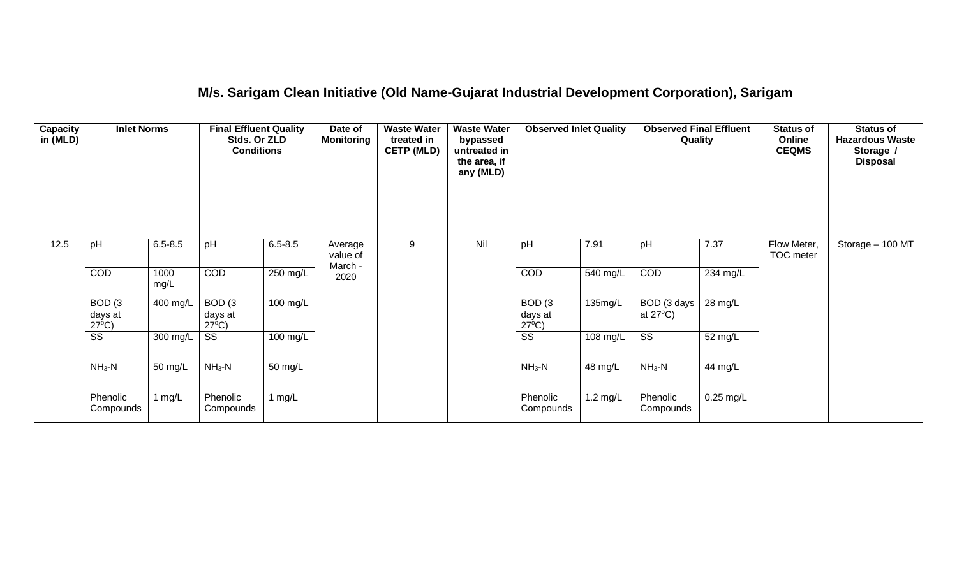### **M/s. Sarigam Clean Initiative (Old Name-Gujarat Industrial Development Corporation), Sarigam**

| Capacity<br>in (MLD) | <b>Inlet Norms</b>                              |                       | <b>Final Effluent Quality</b><br>Stds. Or ZLD<br><b>Conditions</b> |             | Date of<br><b>Monitoring</b>   | <b>Waste Water</b><br>treated in<br><b>CETP (MLD)</b> | <b>Waste Water</b><br>bypassed<br>untreated in<br>the area, if<br>any (MLD) | <b>Observed Inlet Quality</b>        |                    | <b>Observed Final Effluent</b><br>Quality |                       | <b>Status of</b><br>Online<br><b>CEQMS</b> | <b>Status of</b><br><b>Hazardous Waste</b><br>Storage /<br><b>Disposal</b> |
|----------------------|-------------------------------------------------|-----------------------|--------------------------------------------------------------------|-------------|--------------------------------|-------------------------------------------------------|-----------------------------------------------------------------------------|--------------------------------------|--------------------|-------------------------------------------|-----------------------|--------------------------------------------|----------------------------------------------------------------------------|
| 12.5                 | pH                                              | $6.5 - 8.5$           | pH                                                                 | $6.5 - 8.5$ | Average<br>value of<br>March - | 9                                                     | Nil                                                                         | pH                                   | 7.91               | pH                                        | 7.37                  | Flow Meter,<br>TOC meter                   | Storage $-100$ MT                                                          |
|                      | COD                                             | 1000<br>mg/L          | COD                                                                | 250 mg/L    | 2020                           |                                                       |                                                                             | COD                                  | 540 mg/L           | COD                                       | $\overline{23}4$ mg/L |                                            |                                                                            |
|                      | BOD <sub>(3</sub><br>days at<br>$27^{\circ}C$ ) | $\overline{400}$ mg/L | BOD(3)<br>days at<br>$27^{\circ}C$ )                               | $100$ mg/L  |                                |                                                       |                                                                             | BOD(3)<br>days at<br>$27^{\circ}C$ ) | 135mg/L            | BOD (3 days<br>at $27^{\circ}$ C)         | 28 mg/L               |                                            |                                                                            |
|                      | $\overline{\text{ss}}$                          | 300 mg/L              | $\overline{\text{SS}}$                                             | 100 mg/L    |                                |                                                       |                                                                             | $\overline{\text{SS}}$               | 108 mg/L           | $\overline{\text{ss}}$                    | 52 mg/L               |                                            |                                                                            |
|                      | $NH3-N$                                         | 50 mg/L               | $NH3-N$                                                            | 50 mg/L     |                                |                                                       |                                                                             | $NH3-N$                              | 48 mg/L            | $NH3-N$                                   | 44 mg/L               |                                            |                                                                            |
|                      | Phenolic<br>Compounds                           | 1 $mg/L$              | Phenolic<br>Compounds                                              | 1 $mg/L$    |                                |                                                       |                                                                             | Phenolic<br>Compounds                | $1.2 \text{ mg/L}$ | Phenolic<br>Compounds                     | $0.25$ mg/L           |                                            |                                                                            |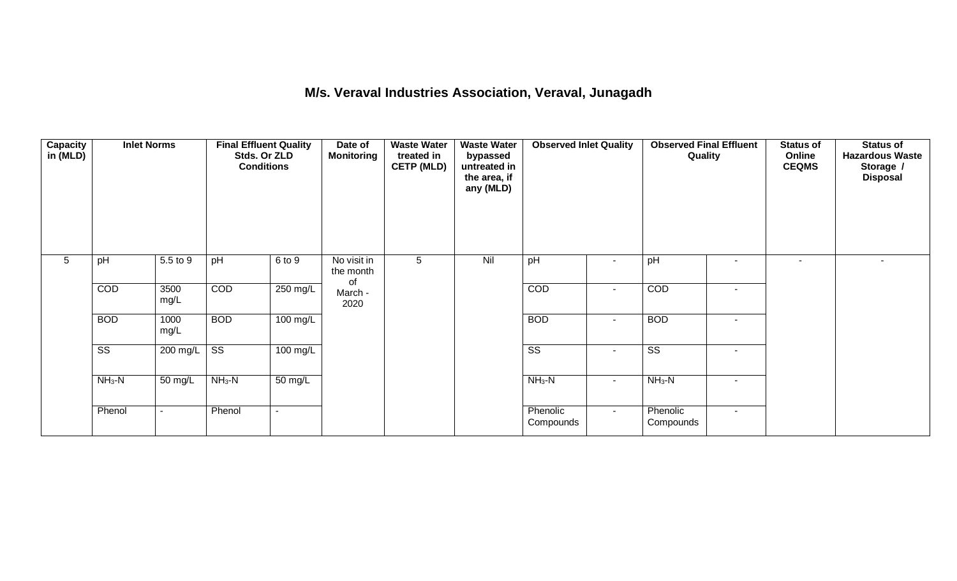## **M/s. Veraval Industries Association, Veraval, Junagadh**

| <b>Capacity</b><br>in (MLD) | <b>Inlet Norms</b><br>$5.5$ to 9 |                      | <b>Final Effluent Quality</b><br>Stds. Or ZLD<br><b>Conditions</b> |                    | Date of<br><b>Monitoring</b>   | <b>Waste Water</b><br>treated in<br><b>CETP (MLD)</b><br>5 | <b>Waste Water</b><br>bypassed<br>untreated in<br>the area, if<br>any (MLD) | <b>Observed Inlet Quality</b> |                | <b>Observed Final Effluent</b><br>Quality |        | <b>Status of</b><br>Online<br><b>CEQMS</b> | <b>Status of</b><br><b>Hazardous Waste</b><br>Storage /<br><b>Disposal</b> |
|-----------------------------|----------------------------------|----------------------|--------------------------------------------------------------------|--------------------|--------------------------------|------------------------------------------------------------|-----------------------------------------------------------------------------|-------------------------------|----------------|-------------------------------------------|--------|--------------------------------------------|----------------------------------------------------------------------------|
| 5                           | pH                               |                      | pH                                                                 | 6 to 9             | No visit in<br>the month<br>of |                                                            | Nil                                                                         | pH                            | ٠              | pH                                        | $\sim$ | $\blacksquare$                             |                                                                            |
|                             | COD                              | 3500<br>mg/L         | COD                                                                | 250 mg/L           | March -<br>2020                |                                                            |                                                                             | COD                           | $\blacksquare$ | COD                                       | $\sim$ |                                            |                                                                            |
|                             | <b>BOD</b>                       | 1000<br>mg/L         | <b>BOD</b>                                                         | $100$ mg/L         |                                |                                                            |                                                                             | <b>BOD</b>                    | $\blacksquare$ | <b>BOD</b>                                | $\sim$ |                                            |                                                                            |
|                             | $\overline{\text{ss}}$           | 200 mg/L             | $\overline{\text{ss}}$                                             | $100 \text{ mg/L}$ |                                |                                                            |                                                                             | $\overline{\text{SS}}$        | $\blacksquare$ | $\overline{\text{SS}}$                    | $\sim$ |                                            |                                                                            |
|                             | $NH3-N$                          | $\overline{50}$ mg/L | $NH3-N$                                                            | 50 mg/L            |                                |                                                            |                                                                             | $NH3-N$                       | $\blacksquare$ | $NH3-N$                                   | $\sim$ |                                            |                                                                            |
|                             | Phenol                           | $\blacksquare$       | Phenol                                                             | $\sim$             |                                |                                                            |                                                                             | Phenolic<br>Compounds         | $\sim$         | Phenolic<br>Compounds                     | $\sim$ |                                            |                                                                            |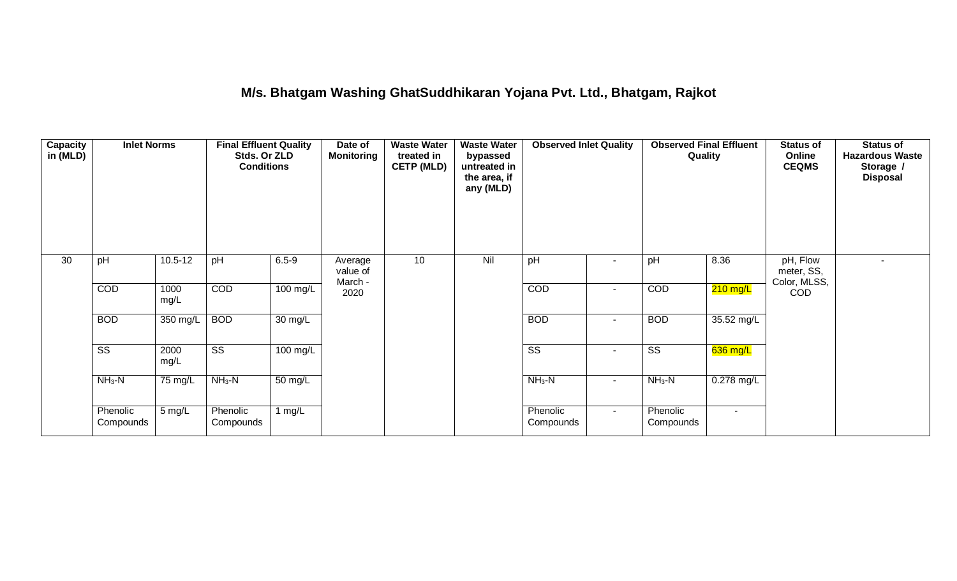## **M/s. Bhatgam Washing GhatSuddhikaran Yojana Pvt. Ltd., Bhatgam, Rajkot**

| <b>Capacity</b><br>in (MLD) | <b>Inlet Norms</b>     |                      | <b>Final Effluent Quality</b><br>Stds. Or ZLD<br><b>Conditions</b> |                      | <b>Waste Water</b><br>Date of<br><b>Monitoring</b><br>treated in<br><b>CETP (MLD)</b> |    | <b>Waste Water</b><br>bypassed<br>untreated in<br>the area, if<br>any (MLD) | <b>Observed Inlet Quality</b> |                | <b>Observed Final Effluent</b><br>Quality |            | <b>Status of</b><br>Online<br><b>CEQMS</b> | <b>Status of</b><br><b>Hazardous Waste</b><br>Storage /<br><b>Disposal</b> |
|-----------------------------|------------------------|----------------------|--------------------------------------------------------------------|----------------------|---------------------------------------------------------------------------------------|----|-----------------------------------------------------------------------------|-------------------------------|----------------|-------------------------------------------|------------|--------------------------------------------|----------------------------------------------------------------------------|
| 30                          | pH                     | $10.5 - 12$          | pH                                                                 | $6.5 - 9$            | Average<br>value of<br>March -                                                        | 10 | Nil                                                                         | pH                            | ۰              | pH                                        | 8.36       | pH, Flow<br>meter, SS,<br>Color, MLSS,     | $\overline{\phantom{a}}$                                                   |
|                             | COD                    | 1000<br>mg/L         | COD                                                                | 100 mg/L             | 2020                                                                                  |    |                                                                             | COD                           | ٠              | COD                                       | $210$ mg/L | COD                                        |                                                                            |
|                             | <b>BOD</b>             | 350 mg/L             | <b>BOD</b>                                                         | $\overline{30}$ mg/L |                                                                                       |    |                                                                             | <b>BOD</b>                    | $\blacksquare$ | <b>BOD</b>                                | 35.52 mg/L |                                            |                                                                            |
|                             | $\overline{\text{ss}}$ | 2000<br>mg/L         | $\overline{\text{ss}}$                                             | $100$ mg/L           |                                                                                       |    |                                                                             | $\overline{\text{ss}}$        | $\blacksquare$ | $\overline{\text{ss}}$                    | $636$ mg/L |                                            |                                                                            |
|                             | $NH3-N$                | $75 \,\mathrm{mg/L}$ | $NH3-N$                                                            | $\overline{50}$ mg/L |                                                                                       |    |                                                                             | $NH3-N$                       | $\blacksquare$ | $NH3-N$                                   | 0.278 mg/L |                                            |                                                                            |
|                             | Phenolic<br>Compounds  | 5 mg/L               | Phenolic<br>Compounds                                              | 1 mg/L               |                                                                                       |    |                                                                             | Phenolic<br>Compounds         | $\sim$         | Phenolic<br>Compounds                     | $\sim$     |                                            |                                                                            |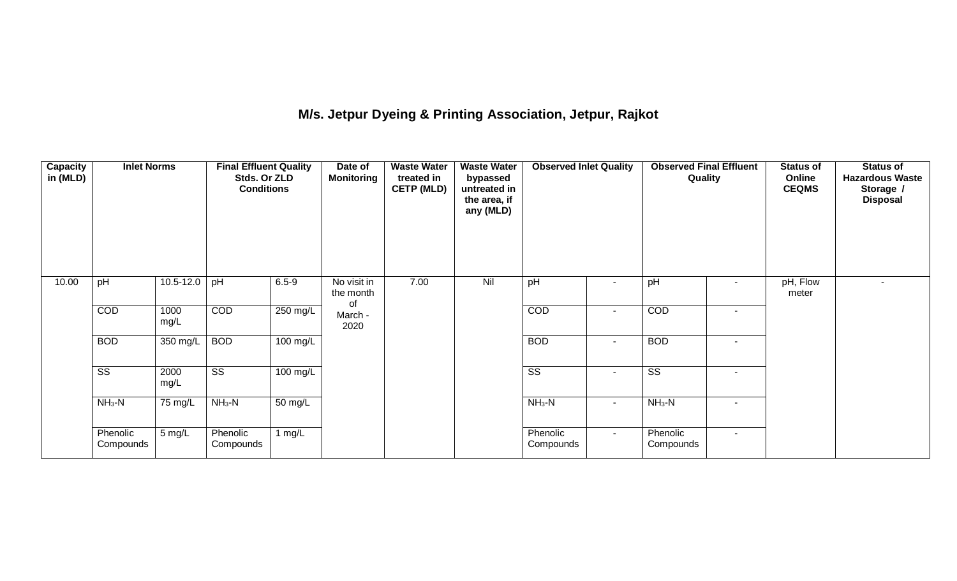## **M/s. Jetpur Dyeing & Printing Association, Jetpur, Rajkot**

| <b>Capacity</b><br>in (MLD) | <b>Inlet Norms</b>     |                    | <b>Final Effluent Quality</b><br>Stds. Or ZLD<br><b>Conditions</b> |            | Date of<br><b>Monitoring</b> | <b>Waste Water</b><br>treated in<br><b>CETP (MLD)</b> | <b>Waste Water</b><br>bypassed<br>untreated in<br>the area, if<br>any (MLD) | <b>Observed Inlet Quality</b> |                          | <b>Observed Final Effluent</b><br>Quality |                          | <b>Status of</b><br>Online<br><b>CEQMS</b> | <b>Status of</b><br><b>Hazardous Waste</b><br>Storage /<br><b>Disposal</b> |
|-----------------------------|------------------------|--------------------|--------------------------------------------------------------------|------------|------------------------------|-------------------------------------------------------|-----------------------------------------------------------------------------|-------------------------------|--------------------------|-------------------------------------------|--------------------------|--------------------------------------------|----------------------------------------------------------------------------|
| 10.00                       | pH                     | $10.5 - 12.0$      | pH                                                                 | $6.5 - 9$  | No visit in<br>the month     | 7.00                                                  | Nil                                                                         | pH                            | $\overline{\phantom{a}}$ | pH                                        | ٠                        | pH, Flow<br>meter                          |                                                                            |
|                             | COD                    | 1000<br>mg/L       | COD                                                                | 250 mg/L   | of<br>March -<br>2020        |                                                       |                                                                             | COD                           | $\overline{\phantom{a}}$ | COD                                       | $\overline{\phantom{a}}$ |                                            |                                                                            |
|                             | <b>BOD</b>             | 350 mg/L           | <b>BOD</b>                                                         | $100$ mg/L |                              |                                                       |                                                                             | <b>BOD</b>                    | $\blacksquare$           | <b>BOD</b>                                | $\blacksquare$           |                                            |                                                                            |
|                             | $\overline{\text{ss}}$ | 2000<br>mg/L       | $\overline{\text{ss}}$                                             | $100$ mg/L |                              |                                                       |                                                                             | $\overline{\text{ss}}$        | $\sim$                   | $\overline{\text{ss}}$                    | $\blacksquare$           |                                            |                                                                            |
|                             | $NH3-N$                | $NH3-N$<br>75 mg/L |                                                                    | $50$ mg/L  |                              |                                                       |                                                                             | $NH3-N$                       | $\sim$                   | $NH3-N$                                   | $\overline{\phantom{a}}$ |                                            |                                                                            |
|                             | Phenolic<br>Compounds  | 5 mg/L             | Phenolic<br>Compounds                                              | 1 $mg/L$   |                              |                                                       |                                                                             | Phenolic<br>Compounds         | $\sim$                   | Phenolic<br>Compounds                     | $\sim$                   |                                            |                                                                            |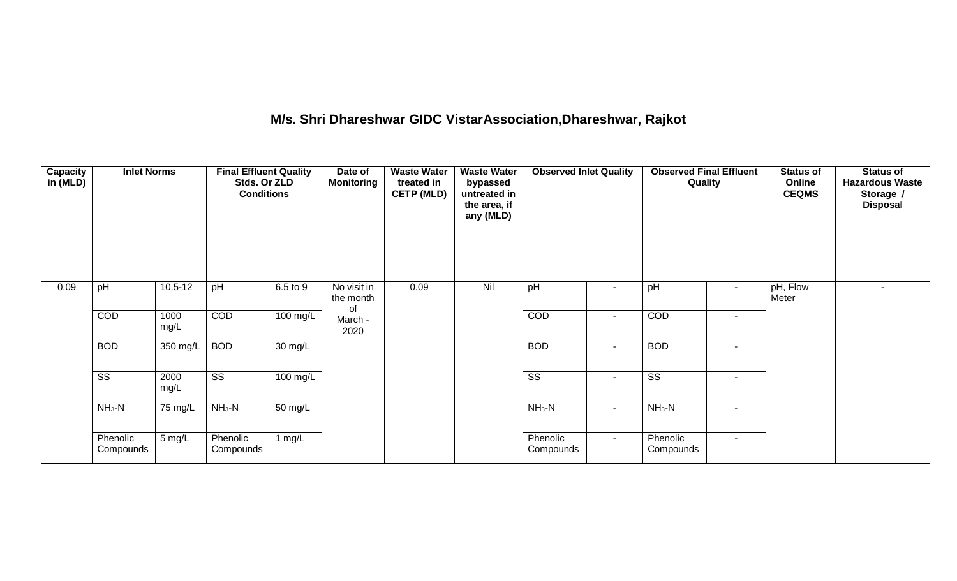### **M/s. Shri Dhareshwar GIDC VistarAssociation,Dhareshwar, Rajkot**

| <b>Capacity</b><br>in (MLD) | <b>Inlet Norms</b>     |                                 | <b>Final Effluent Quality</b><br>Stds. Or ZLD<br><b>Conditions</b> |            | Date of<br><b>Monitoring</b> | <b>Waste Water</b><br>treated in<br><b>CETP (MLD)</b><br>0.09 | <b>Waste Water</b><br>bypassed<br>untreated in<br>the area, if<br>any (MLD) | <b>Observed Inlet Quality</b> |                          | <b>Observed Final Effluent</b><br>Quality |                          | <b>Status of</b><br>Online<br><b>CEQMS</b> | <b>Status of</b><br><b>Hazardous Waste</b><br>Storage /<br><b>Disposal</b> |
|-----------------------------|------------------------|---------------------------------|--------------------------------------------------------------------|------------|------------------------------|---------------------------------------------------------------|-----------------------------------------------------------------------------|-------------------------------|--------------------------|-------------------------------------------|--------------------------|--------------------------------------------|----------------------------------------------------------------------------|
| 0.09                        | pH                     | $10.5 - 12$                     | pH                                                                 | 6.5 to 9   | No visit in<br>the month     |                                                               | Nil                                                                         | pH                            | $\overline{\phantom{a}}$ | pH                                        | $\sim$                   | pH, Flow<br>Meter                          | $\blacksquare$                                                             |
|                             | COD                    | 1000<br>mg/L                    | <b>COD</b>                                                         | $100$ mg/L | of<br>March -<br>2020        |                                                               |                                                                             | COD                           | $\sim$                   | <b>COD</b>                                | $\sim$                   |                                            |                                                                            |
|                             | <b>BOD</b>             | 350 mg/L                        | <b>BOD</b>                                                         | 30 mg/L    |                              |                                                               |                                                                             | <b>BOD</b>                    | $\sim$                   | <b>BOD</b>                                | $\overline{\phantom{a}}$ |                                            |                                                                            |
|                             | $\overline{\text{ss}}$ | 2000<br>mg/L                    | $\overline{\text{ss}}$                                             | 100 mg/L   |                              |                                                               |                                                                             | $\overline{\text{ss}}$        | $\sim$                   | $\overline{\text{SS}}$                    | $\blacksquare$           |                                            |                                                                            |
|                             | $NH3-N$<br>75 mg/L     | $NH3-N$<br>$\overline{50}$ mg/L |                                                                    |            |                              | $NH3-N$                                                       | $\sim$                                                                      | $NH3-N$                       | $\overline{\phantom{0}}$ |                                           |                          |                                            |                                                                            |
|                             | Phenolic<br>Compounds  | 5 mg/L                          | Phenolic<br>Compounds                                              | 1 $mg/L$   |                              |                                                               |                                                                             | Phenolic<br>Compounds         | $\sim$                   | Phenolic<br>Compounds                     | $\sim$                   |                                            |                                                                            |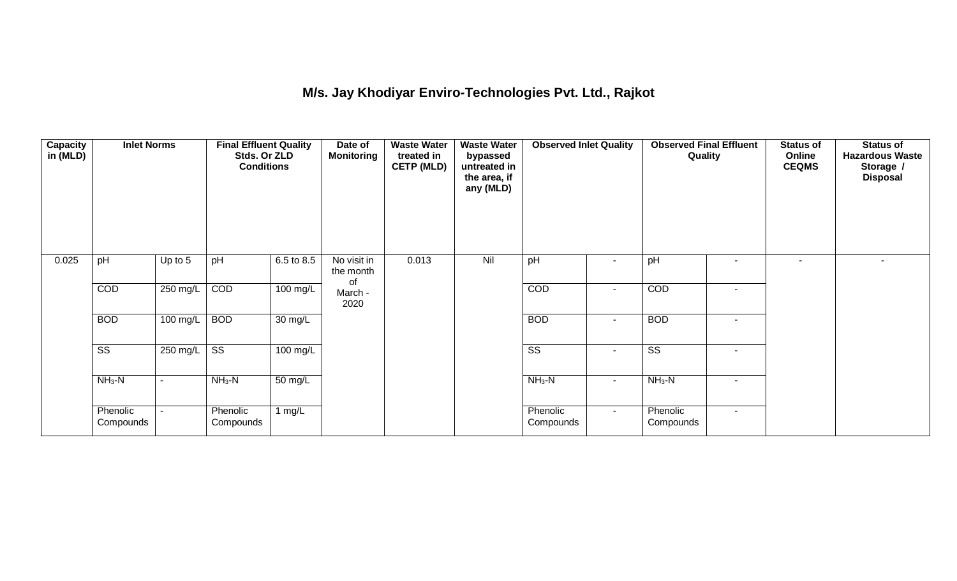## **M/s. Jay Khodiyar Enviro-Technologies Pvt. Ltd., Rajkot**

| <b>Capacity</b><br>in (MLD) | <b>Inlet Norms</b><br>pH<br>Up to $5$ |            | <b>Final Effluent Quality</b><br>Stds. Or ZLD<br><b>Conditions</b> |                      | Date of<br><b>Monitoring</b>   | <b>Waste Water</b><br>treated in<br><b>CETP (MLD)</b> | <b>Waste Water</b><br>bypassed<br>untreated in<br>the area, if<br>any (MLD) | <b>Observed Inlet Quality</b> |                | <b>Observed Final Effluent</b><br>Quality |                | <b>Status of</b><br>Online<br><b>CEQMS</b> | <b>Status of</b><br><b>Hazardous Waste</b><br>Storage /<br><b>Disposal</b> |
|-----------------------------|---------------------------------------|------------|--------------------------------------------------------------------|----------------------|--------------------------------|-------------------------------------------------------|-----------------------------------------------------------------------------|-------------------------------|----------------|-------------------------------------------|----------------|--------------------------------------------|----------------------------------------------------------------------------|
| 0.025                       |                                       |            | pH                                                                 | 6.5 to 8.5           | No visit in<br>the month<br>0f | 0.013                                                 | Nil                                                                         | pH                            | $\blacksquare$ | pH                                        | ٠              | $\blacksquare$                             |                                                                            |
|                             | COD                                   | 250 mg/L   | COD                                                                | 100 mg/L             | March -<br>2020                |                                                       |                                                                             | COD                           | $\sim$         | COD                                       | $\blacksquare$ |                                            |                                                                            |
|                             | <b>BOD</b>                            | $100$ mg/L | <b>BOD</b>                                                         | $\overline{30}$ mg/L |                                |                                                       |                                                                             | <b>BOD</b>                    | $\sim$         | <b>BOD</b>                                | $\sim$         |                                            |                                                                            |
|                             | $\overline{\text{ss}}$                | 250 mg/L   | $\overline{\text{ss}}$                                             | 100 mg/L             |                                |                                                       |                                                                             | $\overline{\text{ss}}$        | $\blacksquare$ | $\overline{\text{SS}}$                    | $\sim$         |                                            |                                                                            |
|                             | $NH3-N$                               | ۰          | $NH3-N$                                                            | 50 mg/L              |                                |                                                       |                                                                             | $NH3-N$                       | $\sim$         | $NH3-N$                                   | $\blacksquare$ |                                            |                                                                            |
|                             | Phenolic<br>Compounds                 |            | Phenolic<br>Compounds                                              | 1 $mg/L$             |                                |                                                       |                                                                             | Phenolic<br>Compounds         | $\sim$         | Phenolic<br>Compounds                     | $\sim$         |                                            |                                                                            |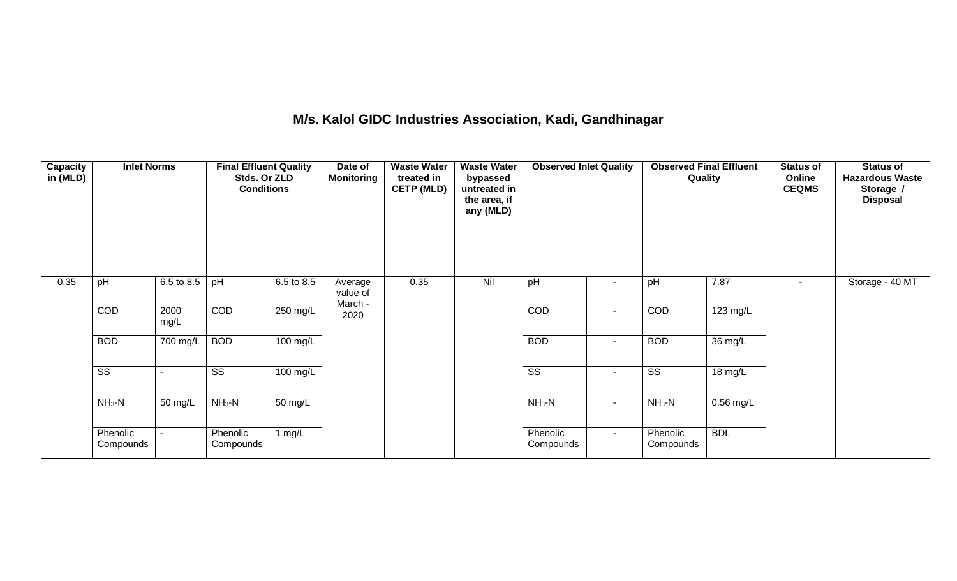### **M/s. Kalol GIDC Industries Association, Kadi, Gandhinagar**

| <b>Capacity</b><br>in (MLD) | <b>Inlet Norms</b><br>6.5 to 8.5<br>pH |              | <b>Final Effluent Quality</b><br>Stds. Or ZLD<br><b>Conditions</b> |                      | Date of<br><b>Monitoring</b>   | treated in<br><b>CETP (MLD)</b><br>0.35 | <b>Waste Water</b><br>bypassed<br>untreated in<br>the area, if<br>any (MLD) | <b>Observed Inlet Quality</b> |                          | Quality                | <b>Observed Final Effluent</b> | <b>Status of</b><br>Online<br><b>CEQMS</b> | <b>Status of</b><br><b>Hazardous Waste</b><br>Storage /<br><b>Disposal</b> |
|-----------------------------|----------------------------------------|--------------|--------------------------------------------------------------------|----------------------|--------------------------------|-----------------------------------------|-----------------------------------------------------------------------------|-------------------------------|--------------------------|------------------------|--------------------------------|--------------------------------------------|----------------------------------------------------------------------------|
| 0.35                        |                                        |              | pH                                                                 | 6.5 to 8.5           | Average<br>value of<br>March - |                                         | Nil                                                                         | pH                            | $\overline{\phantom{a}}$ | pH                     | 7.87                           | ۰.                                         | Storage - 40 MT                                                            |
|                             | COD                                    | 2000<br>mg/L | COD                                                                | 250 mg/L             | 2020                           |                                         |                                                                             | COD                           | $\overline{\phantom{a}}$ | COD                    | 123 mg/L                       |                                            |                                                                            |
|                             | <b>BOD</b>                             | 700 mg/L     | <b>BOD</b>                                                         | $100$ mg/L           |                                |                                         |                                                                             | <b>BOD</b>                    | $\blacksquare$           | <b>BOD</b>             | $\overline{36}$ mg/L           |                                            |                                                                            |
|                             | $\overline{\text{SS}}$                 |              | $\overline{\text{ss}}$                                             | 100 mg/L             |                                |                                         |                                                                             | $\overline{\text{SS}}$        | $\blacksquare$           | $\overline{\text{SS}}$ | $18 \text{ mg/L}$              |                                            |                                                                            |
|                             | $NH3-N$                                | 50 mg/L      | $NH3-N$                                                            | $\overline{50}$ mg/L |                                |                                         |                                                                             | $NH3-N$                       | $\blacksquare$           | $NH3-N$                | $0.56$ mg/L                    |                                            |                                                                            |
|                             | Phenolic<br>Compounds                  |              | Phenolic<br>Compounds                                              | 1 mg/L               |                                |                                         |                                                                             | Phenolic<br>Compounds         | $\sim$                   | Phenolic<br>Compounds  | <b>BDL</b>                     |                                            |                                                                            |